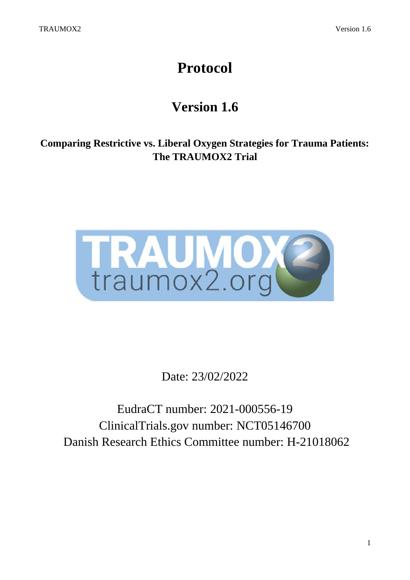# **Protocol**

## **Version 1.6**

**Comparing Restrictive vs. Liberal Oxygen Strategies for Trauma Patients: The TRAUMOX2 Trial**



Date: 23/02/2022

EudraCT number: 2021-000556-19 ClinicalTrials.gov number: NCT05146700 Danish Research Ethics Committee number: H-21018062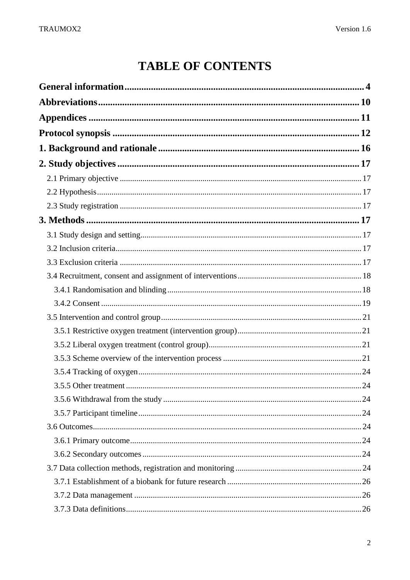## **TABLE OF CONTENTS**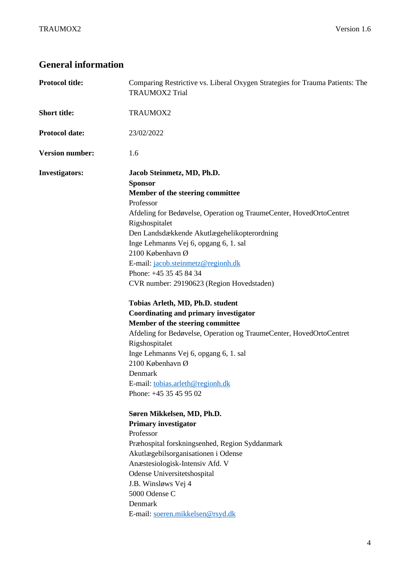## <span id="page-3-0"></span>**General information**

| <b>Protocol title:</b> | Comparing Restrictive vs. Liberal Oxygen Strategies for Trauma Patients: The<br><b>TRAUMOX2 Trial</b>                                                                                                                                                                                                                                                                                                                                                                                                                                                                                                                                                                                                                                                                                                                                                                                                                                                                                                                                                                                       |  |  |
|------------------------|---------------------------------------------------------------------------------------------------------------------------------------------------------------------------------------------------------------------------------------------------------------------------------------------------------------------------------------------------------------------------------------------------------------------------------------------------------------------------------------------------------------------------------------------------------------------------------------------------------------------------------------------------------------------------------------------------------------------------------------------------------------------------------------------------------------------------------------------------------------------------------------------------------------------------------------------------------------------------------------------------------------------------------------------------------------------------------------------|--|--|
| <b>Short title:</b>    | TRAUMOX2                                                                                                                                                                                                                                                                                                                                                                                                                                                                                                                                                                                                                                                                                                                                                                                                                                                                                                                                                                                                                                                                                    |  |  |
| <b>Protocol date:</b>  | 23/02/2022                                                                                                                                                                                                                                                                                                                                                                                                                                                                                                                                                                                                                                                                                                                                                                                                                                                                                                                                                                                                                                                                                  |  |  |
| <b>Version number:</b> | 1.6                                                                                                                                                                                                                                                                                                                                                                                                                                                                                                                                                                                                                                                                                                                                                                                                                                                                                                                                                                                                                                                                                         |  |  |
| <b>Investigators:</b>  | Jacob Steinmetz, MD, Ph.D.<br><b>Sponsor</b><br>Member of the steering committee<br>Professor<br>Afdeling for Bedøvelse, Operation og TraumeCenter, HovedOrtoCentret<br>Rigshospitalet<br>Den Landsdækkende Akutlægehelikopterordning<br>Inge Lehmanns Vej 6, opgang 6, 1. sal<br>2100 København Ø<br>E-mail: jacob.steinmetz@regionh.dk<br>Phone: +45 35 45 84 34<br>CVR number: 29190623 (Region Hovedstaden)<br>Tobias Arleth, MD, Ph.D. student<br>Coordinating and primary investigator<br>Member of the steering committee<br>Afdeling for Bedøvelse, Operation og TraumeCenter, HovedOrtoCentret<br>Rigshospitalet<br>Inge Lehmanns Vej 6, opgang 6, 1. sal<br>2100 København Ø<br>Denmark<br>E-mail: tobias.arleth@regionh.dk<br>Phone: +45 35 45 95 02<br>Søren Mikkelsen, MD, Ph.D.<br><b>Primary investigator</b><br>Professor<br>Præhospital forskningsenhed, Region Syddanmark<br>Akutlægebilsorganisationen i Odense<br>Anæstesiologisk-Intensiv Afd. V<br>Odense Universitetshospital<br>J.B. Winsløws Vej 4<br>5000 Odense C<br>Denmark<br>E-mail: soeren.mikkelsen@rsyd.dk |  |  |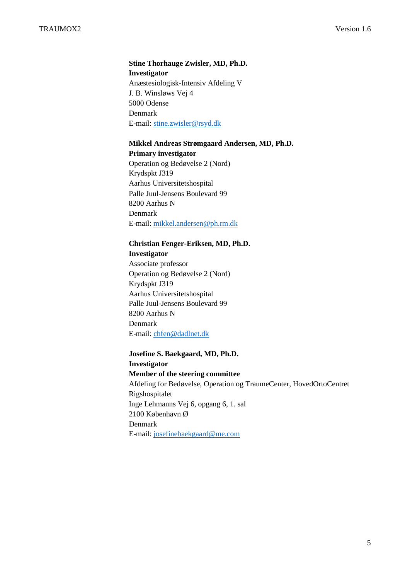## **Stine Thorhauge Zwisler, MD, Ph.D. Investigator**

Anæstesiologisk-Intensiv Afdeling V J. B. Winsløws Vej 4 5000 Odense Denmark E-mail: [stine.zwisler@rsyd.dk](file://///regionh.top.local/dfs/Logget/LovbeskyttetMapper/TRAUMOX2/Videnskabsetisk%20Komité/stine.zwisler@rsyd.dk)

#### **Mikkel Andreas Strømgaard Andersen, MD, Ph.D.**

#### **Primary investigator**

Operation og Bedøvelse 2 (Nord) Krydspkt J319 Aarhus Universitetshospital Palle Juul-Jensens Boulevard 99 8200 Aarhus N Denmark E-mail: [mikkel.andersen@ph.rm.dk](mailto:mikkel.andersen@ph.rm.dk)

#### **Christian Fenger-Eriksen, MD, Ph.D.**

#### **Investigator**

Associate professor Operation og Bedøvelse 2 (Nord) Krydspkt J319 Aarhus Universitetshospital Palle Juul-Jensens Boulevard 99 8200 Aarhus N Denmark E-mail: [chfen@dadlnet.dk](file://///regionh.top.local/dfs/Logget/LovbeskyttetMapper/TRAUMOX2/Videnskabsetisk%20Komité/chfen@dadlnet.dk)

## **Josefine S. Baekgaard, MD, Ph.D. Investigator Member of the steering committee** Afdeling for Bedøvelse, Operation og TraumeCenter, HovedOrtoCentret Rigshospitalet Inge Lehmanns Vej 6, opgang 6, 1. sal 2100 København Ø Denmark E-mail: [josefinebaekgaard@me.com](mailto:josefinebaekgaard@me.com)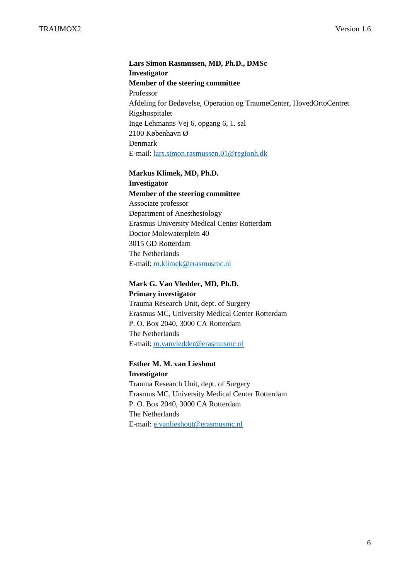**Lars Simon Rasmussen, MD, Ph.D., DMSc Investigator Member of the steering committee** Professor Afdeling for Bedøvelse, Operation og TraumeCenter, HovedOrtoCentret Rigshospitalet Inge Lehmanns Vej 6, opgang 6, 1. sal 2100 København Ø Denmark E-mail: [lars.simon.rasmussen.01@regionh.dk](mailto:lars.simon.rasmussen.01@regionh.dk)

**Markus Klimek, MD, Ph.D.**

#### **Investigator Member of the steering committee**

Associate professor Department of Anesthesiology Erasmus University Medical Center Rotterdam Doctor Molewaterplein 40 3015 GD Rotterdam The Netherlands E-mail: [m.klimek@erasmusmc.nl](file://///regionh.top.local/dfs/Logget/LovbeskyttetMapper/TRAUMOX2/Videnskabsetisk%20Komité/m.klimek@erasmusmc.nl)

#### **Mark G. Van Vledder, MD, Ph.D. Primary investigator**

Trauma Research Unit, dept. of Surgery Erasmus MC, University Medical Center Rotterdam P. O. Box 2040, 3000 CA Rotterdam The Netherlands E-mail:<m.vanvledder@erasmusmc.nl>

#### **Esther M. M. van Lieshout**

**Investigator** Trauma Research Unit, dept. of Surgery Erasmus MC, University Medical Center Rotterdam P. O. Box 2040, 3000 CA Rotterdam The Netherlands E-mail:<e.vanlieshout@erasmusmc.nl>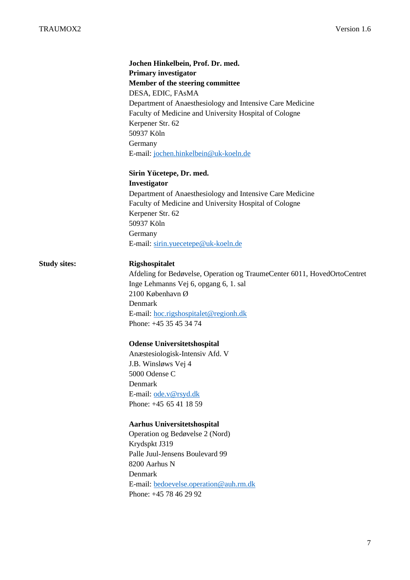## **Jochen Hinkelbein, Prof. Dr. med. Primary investigator Member of the steering committee** DESA, EDIC, FAsMA Department of Anaesthesiology and Intensive Care Medicine Faculty of Medicine and University Hospital of Cologne Kerpener Str. 62 50937 Köln Germany E-mail: [jochen.hinkelbein@uk-koeln.de](file://///regionh.top.local/dfs/Logget/LovbeskyttetMapper/TRAUMOX2/Videnskabsetisk%20Komité/jochen.hinkelbein@uk-koeln.de)

#### **Sirin Yücetepe, Dr. med. Investigator**

Department of Anaesthesiology and Intensive Care Medicine Faculty of Medicine and University Hospital of Cologne Kerpener Str. 62 50937 Köln Germany E-mail: [sirin.yuecetepe@uk-koeln.de](file://///regionh.top.local/dfs/Logget/LovbeskyttetMapper/TRAUMOX2/Videnskabsetisk%20Komité/jochen.hinkelbein@uk-koeln.de)

#### **Study sites: Rigshospitalet**

Afdeling for Bedøvelse, Operation og TraumeCenter 6011, HovedOrtoCentret Inge Lehmanns Vej 6, opgang 6, 1. sal 2100 København Ø Denmark E-mail: [hoc.rigshospitalet@regionh.dk](mailto:hoc.rigshospitalet@regionh.dk) Phone: +45 35 45 34 74

#### **Odense Universitetshospital**

Anæstesiologisk-Intensiv Afd. V J.B. Winsløws Vej 4 5000 Odense C Denmark E-mail: [ode.v@rsyd.dk](mailto:ode.v@rsyd.dk) Phone: +45 65 41 18 59

#### **Aarhus Universitetshospital**

Operation og Bedøvelse 2 (Nord) Krydspkt J319 Palle Juul-Jensens Boulevard 99 8200 Aarhus N Denmark E-mail: [bedoevelse.operation@auh.rm.dk](mailto:bedoevelse.operation@auh.rm.dk) Phone: +45 78 46 29 92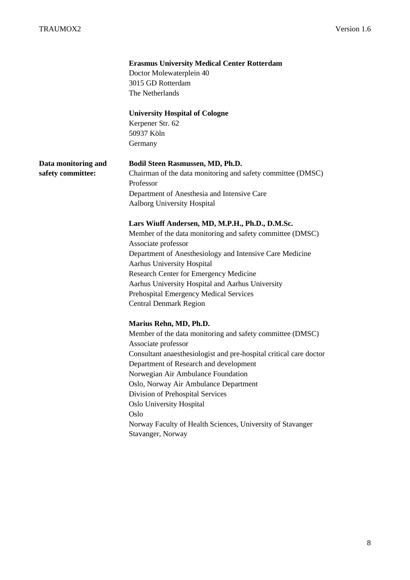|                     | <b>Erasmus University Medical Center Rotterdam</b>                 |
|---------------------|--------------------------------------------------------------------|
|                     | Doctor Molewaterplein 40                                           |
|                     | 3015 GD Rotterdam                                                  |
|                     | The Netherlands                                                    |
|                     |                                                                    |
|                     | <b>University Hospital of Cologne</b>                              |
|                     | Kerpener Str. 62                                                   |
|                     | 50937 Köln                                                         |
|                     | Germany                                                            |
| Data monitoring and | Bodil Steen Rasmussen, MD, Ph.D.                                   |
| safety committee:   | Chairman of the data monitoring and safety committee (DMSC)        |
|                     | Professor                                                          |
|                     | Department of Anesthesia and Intensive Care                        |
|                     | Aalborg University Hospital                                        |
|                     |                                                                    |
|                     | Lars Wiuff Andersen, MD, M.P.H., Ph.D., D.M.Sc.                    |
|                     | Member of the data monitoring and safety committee (DMSC)          |
|                     | Associate professor                                                |
|                     | Department of Anesthesiology and Intensive Care Medicine           |
|                     | Aarhus University Hospital                                         |
|                     | Research Center for Emergency Medicine                             |
|                     | Aarhus University Hospital and Aarhus University                   |
|                     | Prehospital Emergency Medical Services                             |
|                     | <b>Central Denmark Region</b>                                      |
|                     |                                                                    |
|                     | Marius Rehn, MD, Ph.D.                                             |
|                     | Member of the data monitoring and safety committee (DMSC)          |
|                     | Associate professor                                                |
|                     | Consultant anaesthesiologist and pre-hospital critical care doctor |
|                     | Department of Research and development                             |
|                     | Norwegian Air Ambulance Foundation                                 |
|                     | Oslo, Norway Air Ambulance Department                              |
|                     | Division of Prehospital Services                                   |
|                     | Oslo University Hospital                                           |
|                     | Oslo                                                               |
|                     | Norway Faculty of Health Sciences, University of Stavanger         |
|                     | Stavanger, Norway                                                  |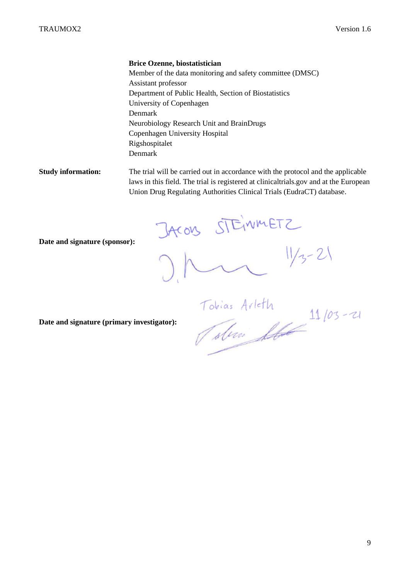#### **Brice Ozenne, biostatistician**

Member of the data monitoring and safety committee (DMSC) Assistant professor Department of Public Health, Section of Biostatistics University of Copenhagen Denmark Neurobiology Research Unit and BrainDrugs Copenhagen University Hospital Rigshospitalet Denmark

**Study information:** The trial will be carried out in accordance with the protocol and the applicable laws in this field. The trial is registered at clinicaltrials.gov and at the European Union Drug Regulating Authorities Clinical Trials (EudraCT) database.

**Date and signature (sponsor):** 

JACONS STEINMETZ

 $11/3 - 21$ 

**Date and signature (primary investigator):**

Tobias Arleth<br>Tobias Arleth 11/03-21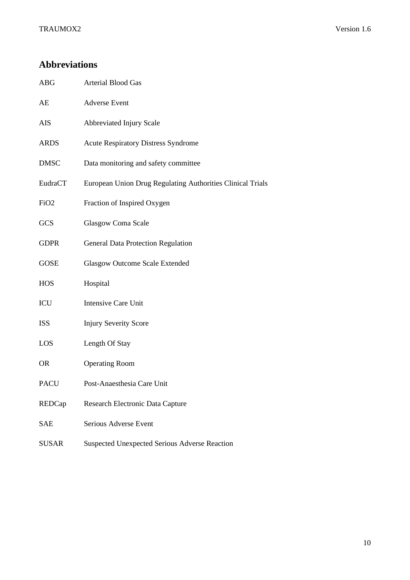## <span id="page-9-0"></span>**Abbreviations**

- ABG Arterial Blood Gas
- AE Adverse Event
- AIS Abbreviated Injury Scale
- ARDS Acute Respiratory Distress Syndrome
- DMSC Data monitoring and safety committee
- EudraCT European Union Drug Regulating Authorities Clinical Trials
- FiO<sub>2</sub> Fraction of Inspired Oxygen
- GCS Glasgow Coma Scale
- GDPR General Data Protection Regulation
- GOSE Glasgow Outcome Scale Extended
- HOS Hospital
- ICU Intensive Care Unit
- ISS Injury Severity Score
- LOS Length Of Stay
- OR Operating Room
- PACU Post-Anaesthesia Care Unit
- REDCap Research Electronic Data Capture
- SAE Serious Adverse Event
- SUSAR Suspected Unexpected Serious Adverse Reaction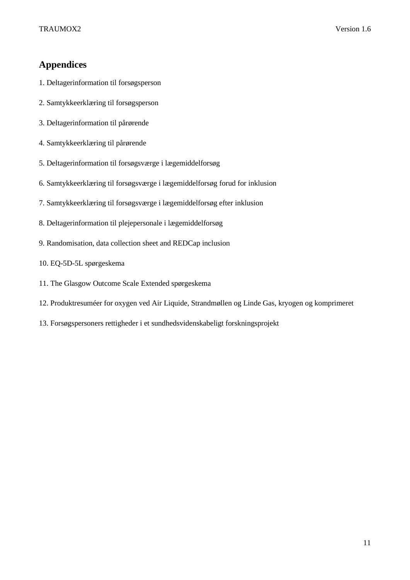## <span id="page-10-0"></span>**Appendices**

- 1. Deltagerinformation til forsøgsperson
- 2. Samtykkeerklæring til forsøgsperson
- 3. Deltagerinformation til pårørende
- 4. Samtykkeerklæring til pårørende
- 5. Deltagerinformation til forsøgsværge i lægemiddelforsøg
- 6. Samtykkeerklæring til forsøgsværge i lægemiddelforsøg forud for inklusion
- 7. Samtykkeerklæring til forsøgsværge i lægemiddelforsøg efter inklusion
- 8. Deltagerinformation til plejepersonale i lægemiddelforsøg
- 9. Randomisation, data collection sheet and REDCap inclusion
- 10. EQ-5D-5L spørgeskema
- 11. The Glasgow Outcome Scale Extended spørgeskema
- 12. Produktresuméer for oxygen ved Air Liquide, Strandmøllen og Linde Gas, kryogen og komprimeret
- 13. Forsøgspersoners rettigheder i et sundhedsvidenskabeligt forskningsprojekt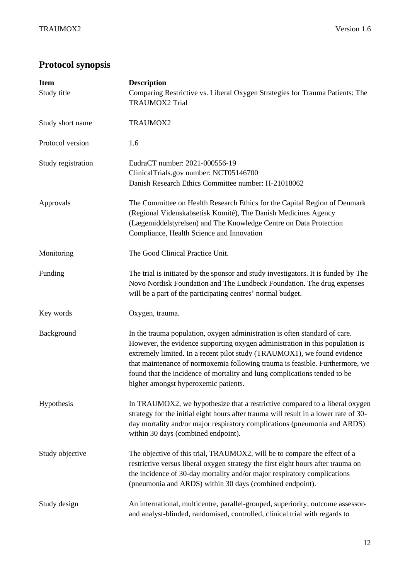## <span id="page-11-0"></span>**Protocol synopsis**

| <b>Item</b>        | <b>Description</b>                                                                                                                                                                                                                                                                                                                                                                                                                          |  |  |
|--------------------|---------------------------------------------------------------------------------------------------------------------------------------------------------------------------------------------------------------------------------------------------------------------------------------------------------------------------------------------------------------------------------------------------------------------------------------------|--|--|
| Study title        | Comparing Restrictive vs. Liberal Oxygen Strategies for Trauma Patients: The<br><b>TRAUMOX2 Trial</b>                                                                                                                                                                                                                                                                                                                                       |  |  |
| Study short name   | TRAUMOX2                                                                                                                                                                                                                                                                                                                                                                                                                                    |  |  |
| Protocol version   | 1.6                                                                                                                                                                                                                                                                                                                                                                                                                                         |  |  |
| Study registration | EudraCT number: 2021-000556-19<br>ClinicalTrials.gov number: NCT05146700<br>Danish Research Ethics Committee number: H-21018062                                                                                                                                                                                                                                                                                                             |  |  |
| Approvals          | The Committee on Health Research Ethics for the Capital Region of Denmark<br>(Regional Videnskabsetisk Komité), The Danish Medicines Agency<br>(Lægemiddelstyrelsen) and The Knowledge Centre on Data Protection<br>Compliance, Health Science and Innovation                                                                                                                                                                               |  |  |
| Monitoring         | The Good Clinical Practice Unit.                                                                                                                                                                                                                                                                                                                                                                                                            |  |  |
| Funding            | The trial is initiated by the sponsor and study investigators. It is funded by The<br>Novo Nordisk Foundation and The Lundbeck Foundation. The drug expenses<br>will be a part of the participating centres' normal budget.                                                                                                                                                                                                                 |  |  |
| Key words          | Oxygen, trauma.                                                                                                                                                                                                                                                                                                                                                                                                                             |  |  |
| Background         | In the trauma population, oxygen administration is often standard of care.<br>However, the evidence supporting oxygen administration in this population is<br>extremely limited. In a recent pilot study (TRAUMOX1), we found evidence<br>that maintenance of normoxemia following trauma is feasible. Furthermore, we<br>found that the incidence of mortality and lung complications tended to be<br>higher amongst hyperoxemic patients. |  |  |
| Hypothesis         | In TRAUMOX2, we hypothesize that a restrictive compared to a liberal oxygen<br>strategy for the initial eight hours after trauma will result in a lower rate of 30-<br>day mortality and/or major respiratory complications (pneumonia and ARDS)<br>within 30 days (combined endpoint).                                                                                                                                                     |  |  |
| Study objective    | The objective of this trial, TRAUMOX2, will be to compare the effect of a<br>restrictive versus liberal oxygen strategy the first eight hours after trauma on<br>the incidence of 30-day mortality and/or major respiratory complications<br>(pneumonia and ARDS) within 30 days (combined endpoint).                                                                                                                                       |  |  |
| Study design       | An international, multicentre, parallel-grouped, superiority, outcome assessor-<br>and analyst-blinded, randomised, controlled, clinical trial with regards to                                                                                                                                                                                                                                                                              |  |  |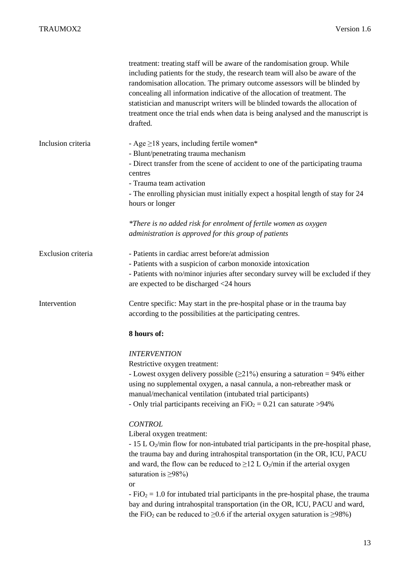|                    | treatment: treating staff will be aware of the randomisation group. While<br>including patients for the study, the research team will also be aware of the<br>randomisation allocation. The primary outcome assessors will be blinded by<br>concealing all information indicative of the allocation of treatment. The<br>statistician and manuscript writers will be blinded towards the allocation of<br>treatment once the trial ends when data is being analysed and the manuscript is<br>drafted.                                                                                                                                                                                                                                                                                                                                                                                                                                                                                                                        |
|--------------------|------------------------------------------------------------------------------------------------------------------------------------------------------------------------------------------------------------------------------------------------------------------------------------------------------------------------------------------------------------------------------------------------------------------------------------------------------------------------------------------------------------------------------------------------------------------------------------------------------------------------------------------------------------------------------------------------------------------------------------------------------------------------------------------------------------------------------------------------------------------------------------------------------------------------------------------------------------------------------------------------------------------------------|
| Inclusion criteria | - Age $\geq$ 18 years, including fertile women*<br>- Blunt/penetrating trauma mechanism<br>- Direct transfer from the scene of accident to one of the participating trauma<br>centres<br>- Trauma team activation<br>- The enrolling physician must initially expect a hospital length of stay for 24<br>hours or longer                                                                                                                                                                                                                                                                                                                                                                                                                                                                                                                                                                                                                                                                                                     |
|                    | *There is no added risk for enrolment of fertile women as oxygen<br>administration is approved for this group of patients                                                                                                                                                                                                                                                                                                                                                                                                                                                                                                                                                                                                                                                                                                                                                                                                                                                                                                    |
| Exclusion criteria | - Patients in cardiac arrest before/at admission<br>- Patients with a suspicion of carbon monoxide intoxication<br>- Patients with no/minor injuries after secondary survey will be excluded if they<br>are expected to be discharged <24 hours                                                                                                                                                                                                                                                                                                                                                                                                                                                                                                                                                                                                                                                                                                                                                                              |
| Intervention       | Centre specific: May start in the pre-hospital phase or in the trauma bay<br>according to the possibilities at the participating centres.                                                                                                                                                                                                                                                                                                                                                                                                                                                                                                                                                                                                                                                                                                                                                                                                                                                                                    |
|                    | 8 hours of:                                                                                                                                                                                                                                                                                                                                                                                                                                                                                                                                                                                                                                                                                                                                                                                                                                                                                                                                                                                                                  |
|                    | <b>INTERVENTION</b><br>Restrictive oxygen treatment:<br>- Lowest oxygen delivery possible $(\geq 21\%)$ ensuring a saturation = 94% either<br>using no supplemental oxygen, a nasal cannula, a non-rebreather mask or<br>manual/mechanical ventilation (intubated trial participants)<br>- Only trial participants receiving an $FiO_2 = 0.21$ can saturate >94%<br><b>CONTROL</b><br>Liberal oxygen treatment:<br>- $15$ L O <sub>2</sub> /min flow for non-intubated trial participants in the pre-hospital phase,<br>the trauma bay and during intrahospital transportation (in the OR, ICU, PACU<br>and ward, the flow can be reduced to $\geq$ 12 L O <sub>2</sub> /min if the arterial oxygen<br>saturation is $\geq 98\%$ )<br><b>or</b><br>$-FiO2 = 1.0$ for intubated trial participants in the pre-hospital phase, the trauma<br>bay and during intrahospital transportation (in the OR, ICU, PACU and ward,<br>the FiO <sub>2</sub> can be reduced to $\geq$ 0.6 if the arterial oxygen saturation is $\geq$ 98%) |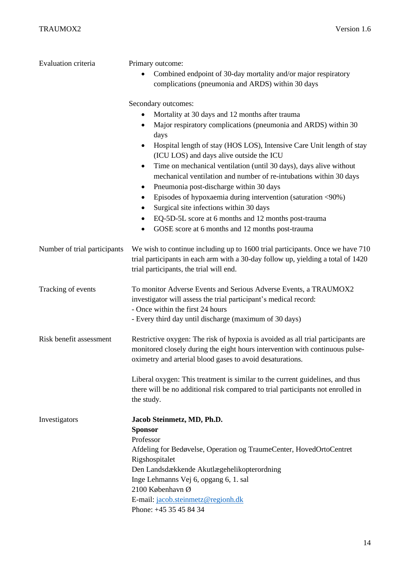| Evaluation criteria          | Primary outcome:<br>Combined endpoint of 30-day mortality and/or major respiratory<br>complications (pneumonia and ARDS) within 30 days                                                                                                                                                                                                                |  |  |
|------------------------------|--------------------------------------------------------------------------------------------------------------------------------------------------------------------------------------------------------------------------------------------------------------------------------------------------------------------------------------------------------|--|--|
|                              | Secondary outcomes:<br>Mortality at 30 days and 12 months after trauma<br>Major respiratory complications (pneumonia and ARDS) within 30<br>days<br>Hospital length of stay (HOS LOS), Intensive Care Unit length of stay<br>(ICU LOS) and days alive outside the ICU<br>Time on mechanical ventilation (until 30 days), days alive without<br>٠       |  |  |
|                              | mechanical ventilation and number of re-intubations within 30 days<br>Pneumonia post-discharge within 30 days<br>٠<br>Episodes of hypoxaemia during intervention (saturation <90%)<br>$\bullet$<br>Surgical site infections within 30 days<br>EQ-5D-5L score at 6 months and 12 months post-trauma<br>GOSE score at 6 months and 12 months post-trauma |  |  |
| Number of trial participants | We wish to continue including up to 1600 trial participants. Once we have 710<br>trial participants in each arm with a 30-day follow up, yielding a total of 1420<br>trial participants, the trial will end.                                                                                                                                           |  |  |
| Tracking of events           | To monitor Adverse Events and Serious Adverse Events, a TRAUMOX2<br>investigator will assess the trial participant's medical record:<br>- Once within the first 24 hours<br>- Every third day until discharge (maximum of 30 days)                                                                                                                     |  |  |
| Risk benefit assessment      | Restrictive oxygen: The risk of hypoxia is avoided as all trial participants are<br>monitored closely during the eight hours intervention with continuous pulse-<br>oximetry and arterial blood gases to avoid desaturations.                                                                                                                          |  |  |
|                              | Liberal oxygen: This treatment is similar to the current guidelines, and thus<br>there will be no additional risk compared to trial participants not enrolled in<br>the study.                                                                                                                                                                         |  |  |
| Investigators                | Jacob Steinmetz, MD, Ph.D.<br><b>Sponsor</b><br>Professor<br>Afdeling for Bedøvelse, Operation og TraumeCenter, HovedOrtoCentret<br>Rigshospitalet<br>Den Landsdækkende Akutlægehelikopterordning<br>Inge Lehmanns Vej 6, opgang 6, 1. sal<br>2100 København Ø<br>E-mail: jacob.steinmetz@regionh.dk<br>Phone: +45 35 45 84 34                         |  |  |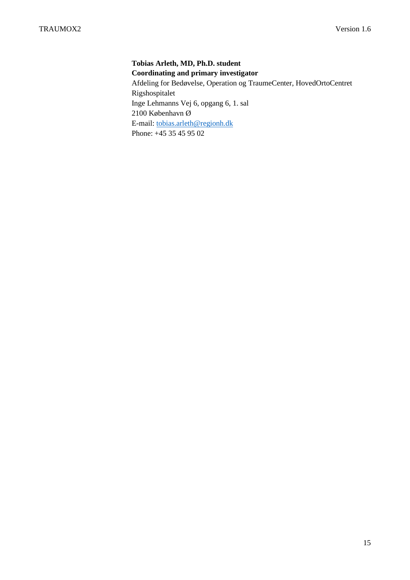**Tobias Arleth, MD, Ph.D. student Coordinating and primary investigator** Afdeling for Bedøvelse, Operation og TraumeCenter, HovedOrtoCentret Rigshospitalet Inge Lehmanns Vej 6, opgang 6, 1. sal 2100 København Ø E-mail: [tobias.arleth@regionh.dk](mailto:tobias.arleth@regionh.dk) Phone: +45 35 45 95 02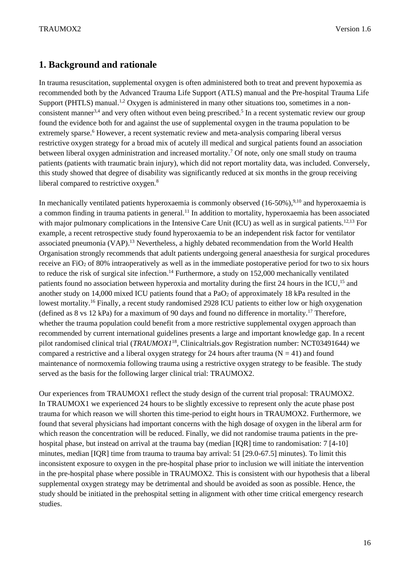## <span id="page-15-0"></span>**1. Background and rationale**

In trauma resuscitation, supplemental oxygen is often administered both to treat and prevent hypoxemia as recommended both by the Advanced Trauma Life Support (ATLS) manual and the Pre-hospital Trauma Life Support (PHTLS) manual.<sup>1,2</sup> Oxygen is administered in many other situations too, sometimes in a nonconsistent manner<sup>3,4</sup> and very often without even being prescribed.<sup>5</sup> In a recent systematic review our group found the evidence both for and against the use of supplemental oxygen in the trauma population to be extremely sparse.<sup>6</sup> However, a recent systematic review and meta-analysis comparing liberal versus restrictive oxygen strategy for a broad mix of acutely ill medical and surgical patients found an association between liberal oxygen administration and increased mortality.<sup>7</sup> Of note, only one small study on trauma patients (patients with traumatic brain injury), which did not report mortality data, was included. Conversely, this study showed that degree of disability was significantly reduced at six months in the group receiving liberal compared to restrictive oxygen.<sup>8</sup>

In mechanically ventilated patients hyperoxaemia is commonly observed (16-50%),<sup>9,10</sup> and hyperoxaemia is a common finding in trauma patients in general.<sup>11</sup> In addition to mortality, hyperoxaemia has been associated with major pulmonary complications in the Intensive Care Unit (ICU) as well as in surgical patients.<sup>12,13</sup> For example, a recent retrospective study found hyperoxaemia to be an independent risk factor for ventilator associated pneumonia (VAP).<sup>13</sup> Nevertheless, a highly debated recommendation from the World Health Organisation strongly recommends that adult patients undergoing general anaesthesia for surgical procedures receive an  $FiO<sub>2</sub>$  of 80% intraoperatively as well as in the immediate postoperative period for two to six hours to reduce the risk of surgical site infection.<sup>14</sup> Furthermore, a study on 152,000 mechanically ventilated patients found no association between hyperoxia and mortality during the first 24 hours in the ICU,<sup>15</sup> and another study on 14,000 mixed ICU patients found that a PaO<sub>2</sub> of approximately 18 kPa resulted in the lowest mortality.<sup>16</sup> Finally, a recent study randomised 2928 ICU patients to either low or high oxygenation (defined as 8 vs 12 kPa) for a maximum of 90 days and found no difference in mortality.<sup>17</sup> Therefore, whether the trauma population could benefit from a more restrictive supplemental oxygen approach than recommended by current international guidelines presents a large and important knowledge gap. In a recent pilot randomised clinical trial (*TRAUMOX1*<sup>18</sup> *,* Clinicaltrials.gov Registration number: NCT03491644*)* we compared a restrictive and a liberal oxygen strategy for 24 hours after trauma ( $N = 41$ ) and found maintenance of normoxemia following trauma using a restrictive oxygen strategy to be feasible. The study served as the basis for the following larger clinical trial: TRAUMOX2.

Our experiences from TRAUMOX1 reflect the study design of the current trial proposal: TRAUMOX2. In TRAUMOX1 we experienced 24 hours to be slightly excessive to represent only the acute phase post trauma for which reason we will shorten this time-period to eight hours in TRAUMOX2. Furthermore, we found that several physicians had important concerns with the high dosage of oxygen in the liberal arm for which reason the concentration will be reduced. Finally, we did not randomise trauma patients in the prehospital phase, but instead on arrival at the trauma bay (median [IQR] time to randomisation: 7 [4-10] minutes, median [IQR] time from trauma to trauma bay arrival: 51 [29.0-67.5] minutes). To limit this inconsistent exposure to oxygen in the pre-hospital phase prior to inclusion we will initiate the intervention in the pre-hospital phase where possible in TRAUMOX2. This is consistent with our hypothesis that a liberal supplemental oxygen strategy may be detrimental and should be avoided as soon as possible. Hence, the study should be initiated in the prehospital setting in alignment with other time critical emergency research studies.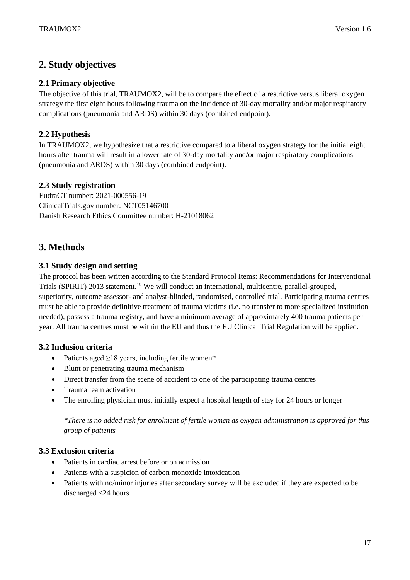## <span id="page-16-0"></span>**2. Study objectives**

#### <span id="page-16-1"></span>**2.1 Primary objective**

The objective of this trial, TRAUMOX2, will be to compare the effect of a restrictive versus liberal oxygen strategy the first eight hours following trauma on the incidence of 30-day mortality and/or major respiratory complications (pneumonia and ARDS) within 30 days (combined endpoint).

## <span id="page-16-2"></span>**2.2 Hypothesis**

In TRAUMOX2, we hypothesize that a restrictive compared to a liberal oxygen strategy for the initial eight hours after trauma will result in a lower rate of 30-day mortality and/or major respiratory complications (pneumonia and ARDS) within 30 days (combined endpoint).

#### <span id="page-16-3"></span>**2.3 Study registration**

EudraCT number: 2021-000556-19 ClinicalTrials.gov number: NCT05146700 Danish Research Ethics Committee number: H-21018062

## <span id="page-16-4"></span>**3. Methods**

#### <span id="page-16-5"></span>**3.1 Study design and setting**

The protocol has been written according to the Standard Protocol Items: Recommendations for Interventional Trials (SPIRIT) 2013 statement.<sup>19</sup> We will conduct an international, multicentre, parallel-grouped, superiority, outcome assessor- and analyst-blinded, randomised, controlled trial. Participating trauma centres must be able to provide definitive treatment of trauma victims (i.e. no transfer to more specialized institution needed), possess a trauma registry, and have a minimum average of approximately 400 trauma patients per year. All trauma centres must be within the EU and thus the EU Clinical Trial Regulation will be applied.

## <span id="page-16-6"></span>**3.2 Inclusion criteria**

- Patients aged  $\geq$ 18 years, including fertile women\*
- Blunt or penetrating trauma mechanism
- Direct transfer from the scene of accident to one of the participating trauma centres
- Trauma team activation
- The enrolling physician must initially expect a hospital length of stay for 24 hours or longer

*\*There is no added risk for enrolment of fertile women as oxygen administration is approved for this group of patients*

#### <span id="page-16-7"></span>**3.3 Exclusion criteria**

- Patients in cardiac arrest before or on admission
- Patients with a suspicion of carbon monoxide intoxication
- Patients with no/minor injuries after secondary survey will be excluded if they are expected to be discharged <24 hours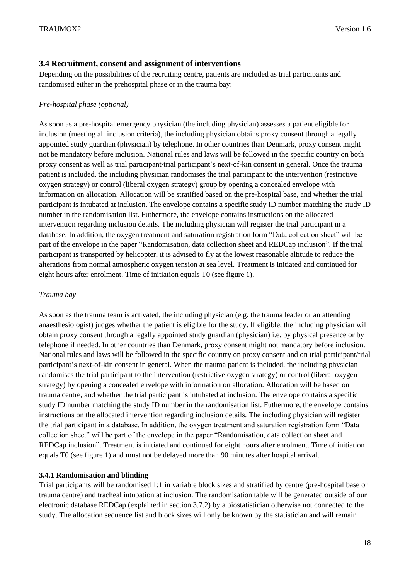#### <span id="page-17-0"></span>**3.4 Recruitment, consent and assignment of interventions**

Depending on the possibilities of the recruiting centre, patients are included as trial participants and randomised either in the prehospital phase or in the trauma bay:

#### *Pre-hospital phase (optional)*

As soon as a pre-hospital emergency physician (the including physician) assesses a patient eligible for inclusion (meeting all inclusion criteria), the including physician obtains proxy consent through a legally appointed study guardian (physician) by telephone. In other countries than Denmark, proxy consent might not be mandatory before inclusion. National rules and laws will be followed in the specific country on both proxy consent as well as trial participant/trial participant's next-of-kin consent in general. Once the trauma patient is included, the including physician randomises the trial participant to the intervention (restrictive oxygen strategy) or control (liberal oxygen strategy) group by opening a concealed envelope with information on allocation. Allocation will be stratified based on the pre-hospital base, and whether the trial participant is intubated at inclusion. The envelope contains a specific study ID number matching the study ID number in the randomisation list. Futhermore, the envelope contains instructions on the allocated intervention regarding inclusion details. The including physician will register the trial participant in a database. In addition, the oxygen treatment and saturation registration form "Data collection sheet" will be part of the envelope in the paper "Randomisation, data collection sheet and REDCap inclusion". If the trial participant is transported by helicopter, it is advised to fly at the lowest reasonable altitude to reduce the alterations from normal atmospheric oxygen tension at sea level. Treatment is initiated and continued for eight hours after enrolment. Time of initiation equals T0 (see figure 1).

#### *Trauma bay*

As soon as the trauma team is activated, the including physician (e.g. the trauma leader or an attending anaesthesiologist) judges whether the patient is eligible for the study. If eligible, the including physician will obtain proxy consent through a legally appointed study guardian (physician) i.e. by physical presence or by telephone if needed. In other countries than Denmark, proxy consent might not mandatory before inclusion. National rules and laws will be followed in the specific country on proxy consent and on trial participant/trial participant's next-of-kin consent in general. When the trauma patient is included, the including physician randomises the trial participant to the intervention (restrictive oxygen strategy) or control (liberal oxygen strategy) by opening a concealed envelope with information on allocation. Allocation will be based on trauma centre, and whether the trial participant is intubated at inclusion. The envelope contains a specific study ID number matching the study ID number in the randomisation list. Futhermore, the envelope contains instructions on the allocated intervention regarding inclusion details. The including physician will register the trial participant in a database. In addition, the oxygen treatment and saturation registration form "Data collection sheet" will be part of the envelope in the paper "Randomisation, data collection sheet and REDCap inclusion". Treatment is initiated and continued for eight hours after enrolment. Time of initiation equals T0 (see figure 1) and must not be delayed more than 90 minutes after hospital arrival.

#### <span id="page-17-1"></span>**3.4.1 Randomisation and blinding**

Trial participants will be randomised 1:1 in variable block sizes and stratified by centre (pre-hospital base or trauma centre) and tracheal intubation at inclusion. The randomisation table will be generated outside of our electronic database REDCap (explained in section 3.7.2) by a biostatistician otherwise not connected to the study. The allocation sequence list and block sizes will only be known by the statistician and will remain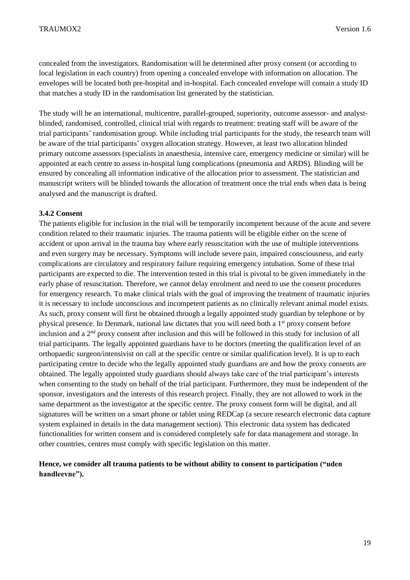concealed from the investigators. Randomisation will be determined after proxy consent (or according to local legislation in each country) from opening a concealed envelope with information on allocation. The envelopes will be located both pre-hospital and in-hospital. Each concealed envelope will contain a study ID that matches a study ID in the randomisation list generated by the statistician.

The study will be an international, multicentre, parallel-grouped, superiority, outcome assessor- and analystblinded, randomised, controlled, clinical trial with regards to treatment: treating staff will be aware of the trial participants' randomisation group. While including trial participants for the study, the research team will be aware of the trial participants' oxygen allocation strategy. However, at least two allocation blinded primary outcome assessors (specialists in anaesthesia, intensive care, emergency medicine or similar) will be appointed at each centre to assess in-hospital lung complications (pneumonia and ARDS). Blinding will be ensured by concealing all information indicative of the allocation prior to assessment. The statistician and manuscript writers will be blinded towards the allocation of treatment once the trial ends when data is being analysed and the manuscript is drafted.

#### <span id="page-18-0"></span>**3.4.2 Consent**

The patients eligible for inclusion in the trial will be temporarily incompetent because of the acute and severe condition related to their traumatic injuries. The trauma patients will be eligible either on the scene of accident or upon arrival in the trauma bay where early resuscitation with the use of multiple interventions and even surgery may be necessary. Symptoms will include severe pain, impaired consciousness, and early complications are circulatory and respiratory failure requiring emergency intubation. Some of these trial participants are expected to die. The intervention tested in this trial is pivotal to be given immediately in the early phase of resuscitation. Therefore, we cannot delay enrolment and need to use the consent procedures for emergency research. To make clinical trials with the goal of improving the treatment of traumatic injuries it is necessary to include unconscious and incompetent patients as no clinically relevant animal model exists. As such, proxy consent will first be obtained through a legally appointed study guardian by telephone or by physical presence. In Denmark, national law dictates that you will need both a 1st proxy consent before inclusion and a 2<sup>nd</sup> proxy consent after inclusion and this will be followed in this study for inclusion of all trial participants. The legally appointed guardians have to be doctors (meeting the qualification level of an orthopaedic surgeon/intensivist on call at the specific centre or similar qualification level). It is up to each participating centre to decide who the legally appointed study guardians are and how the proxy consents are obtained. The legally appointed study guardians should always take care of the trial participant's interests when consenting to the study on behalf of the trial participant. Furthermore, they must be independent of the sponsor, investigators and the interests of this research project. Finally, they are not allowed to work in the same department as the investigator at the specific centre. The proxy consent form will be digital, and all signatures will be written on a smart phone or tablet using REDCap (a secure research electronic data capture system explained in details in the data management section). This electronic data system has dedicated functionalities for written consent and is considered completely safe for data management and storage. In other countries, centres must comply with specific legislation on this matter.

#### **Hence, we consider all trauma patients to be without ability to consent to participation ("uden handleevne").**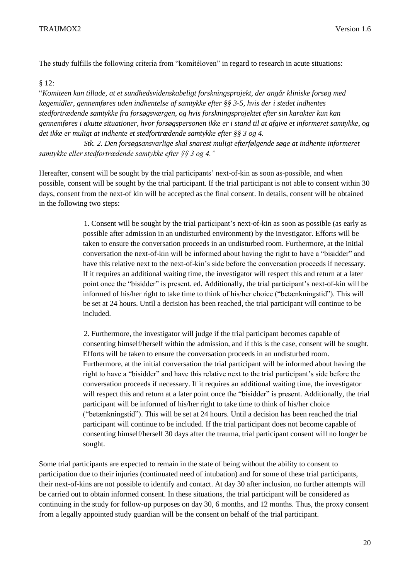The study fulfills the following criteria from "komitéloven" in regard to research in acute situations:

§ 12:

"*Komiteen kan tillade, at et sundhedsvidenskabeligt forskningsprojekt, der angår kliniske forsøg med lægemidler, gennemføres uden indhentelse af samtykke efter §§ 3-5, hvis der i stedet indhentes stedfortrædende samtykke fra forsøgsværgen, og hvis forskningsprojektet efter sin karakter kun kan gennemføres i akutte situationer, hvor forsøgspersonen ikke er i stand til at afgive et informeret samtykke, og det ikke er muligt at indhente et stedfortrædende samtykke efter §§ 3 og 4.*

*Stk. 2. Den forsøgsansvarlige skal snarest muligt efterfølgende søge at indhente informeret samtykke eller stedfortrædende samtykke efter §§ 3 og 4."*

Hereafter, consent will be sought by the trial participants' next-of-kin as soon as-possible, and when possible, consent will be sought by the trial participant. If the trial participant is not able to consent within 30 days, consent from the next-of kin will be accepted as the final consent. In details, consent will be obtained in the following two steps:

> 1. Consent will be sought by the trial participant's next-of-kin as soon as possible (as early as possible after admission in an undisturbed environment) by the investigator. Efforts will be taken to ensure the conversation proceeds in an undisturbed room. Furthermore, at the initial conversation the next-of-kin will be informed about having the right to have a "bisidder" and have this relative next to the next-of-kin's side before the conversation proceeds if necessary. If it requires an additional waiting time, the investigator will respect this and return at a later point once the "bisidder" is present. ed. Additionally, the trial participant's next-of-kin will be informed of his/her right to take time to think of his/her choice ("betænkningstid"). This will be set at 24 hours. Until a decision has been reached, the trial participant will continue to be included.

> 2. Furthermore, the investigator will judge if the trial participant becomes capable of consenting himself/herself within the admission, and if this is the case, consent will be sought. Efforts will be taken to ensure the conversation proceeds in an undisturbed room. Furthermore, at the initial conversation the trial participant will be informed about having the right to have a "bisidder" and have this relative next to the trial participant's side before the conversation proceeds if necessary. If it requires an additional waiting time, the investigator will respect this and return at a later point once the "bisidder" is present. Additionally, the trial participant will be informed of his/her right to take time to think of his/her choice ("betænkningstid"). This will be set at 24 hours. Until a decision has been reached the trial participant will continue to be included. If the trial participant does not become capable of consenting himself/herself 30 days after the trauma, trial participant consent will no longer be sought.

Some trial participants are expected to remain in the state of being without the ability to consent to participation due to their injuries (continuated need of intubation) and for some of these trial participants, their next-of-kins are not possible to identify and contact. At day 30 after inclusion, no further attempts will be carried out to obtain informed consent. In these situations, the trial participant will be considered as continuing in the study for follow-up purposes on day 30, 6 months, and 12 months. Thus, the proxy consent from a legally appointed study guardian will be the consent on behalf of the trial participant.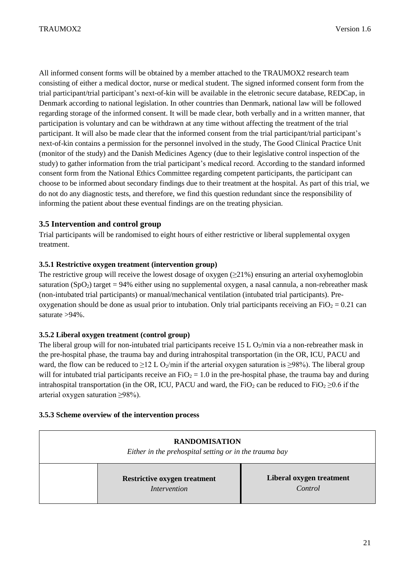All informed consent forms will be obtained by a member attached to the TRAUMOX2 research team consisting of either a medical doctor, nurse or medical student. The signed informed consent form from the trial participant/trial participant's next-of-kin will be available in the eletronic secure database, REDCap, in Denmark according to national legislation. In other countries than Denmark, national law will be followed regarding storage of the informed consent. It will be made clear, both verbally and in a written manner, that participation is voluntary and can be withdrawn at any time without affecting the treatment of the trial participant. It will also be made clear that the informed consent from the trial participant/trial participant's next-of-kin contains a permission for the personnel involved in the study, The Good Clinical Practice Unit (monitor of the study) and the Danish Medicines Agency (due to their legislative control inspection of the study) to gather information from the trial participant's medical record. According to the standard informed consent form from the National Ethics Committee regarding competent participants, the participant can choose to be informed about secondary findings due to their treatment at the hospital. As part of this trial, we do not do any diagnostic tests, and therefore, we find this question redundant since the responsibility of informing the patient about these eventual findings are on the treating physician.

#### <span id="page-20-0"></span>**3.5 Intervention and control group**

Trial participants will be randomised to eight hours of either restrictive or liberal supplemental oxygen treatment.

#### <span id="page-20-1"></span>**3.5.1 Restrictive oxygen treatment (intervention group)**

The restrictive group will receive the lowest dosage of oxygen  $(\geq 21\%)$  ensuring an arterial oxyhemoglobin saturation (SpO<sub>2</sub>) target = 94% either using no supplemental oxygen, a nasal cannula, a non-rebreather mask (non-intubated trial participants) or manual/mechanical ventilation (intubated trial participants). Preoxygenation should be done as usual prior to intubation. Only trial participants receiving an  $FiO_2 = 0.21$  can saturate >94%.

#### <span id="page-20-2"></span>**3.5.2 Liberal oxygen treatment (control group)**

The liberal group will for non-intubated trial participants receive  $15 L O<sub>2</sub>/min$  via a non-rebreather mask in the pre-hospital phase, the trauma bay and during intrahospital transportation (in the OR, ICU, PACU and ward, the flow can be reduced to  $\geq$ 12 L O<sub>2</sub>/min if the arterial oxygen saturation is  $\geq$ 98%). The liberal group will for intubated trial participants receive an  $FiO<sub>2</sub> = 1.0$  in the pre-hospital phase, the trauma bay and during intrahospital transportation (in the OR, ICU, PACU and ward, the FiO<sub>2</sub> can be reduced to FiO<sub>2</sub> ≥0.6 if the arterial oxygen saturation ≥98%).

#### <span id="page-20-3"></span>**3.5.3 Scheme overview of the intervention process**

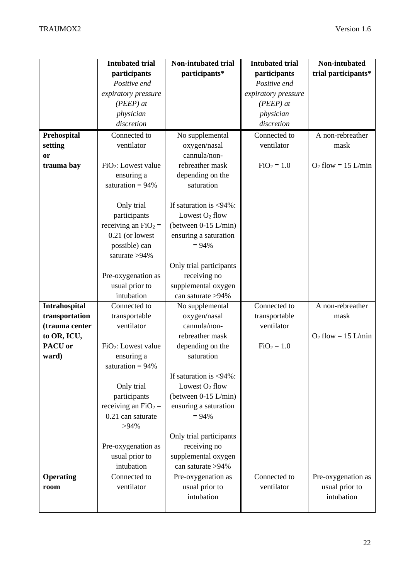|                  | <b>Intubated trial</b>          | Non-intubated trial       | <b>Intubated trial</b> | Non-intubated        |
|------------------|---------------------------------|---------------------------|------------------------|----------------------|
|                  | participants                    | participants*             | participants           | trial participants*  |
|                  | Positive end                    |                           | Positive end           |                      |
|                  |                                 |                           |                        |                      |
|                  | expiratory pressure             |                           | expiratory pressure    |                      |
|                  | $(PEEP)$ at                     |                           | $(PEEP)$ at            |                      |
|                  | physician                       |                           | physician              |                      |
|                  | discretion                      |                           | discretion             |                      |
| Prehospital      | Connected to                    | No supplemental           | Connected to           | A non-rebreather     |
| setting          | ventilator                      | oxygen/nasal              | ventilator             | mask                 |
| or               |                                 | cannula/non-              |                        |                      |
| trauma bay       | FiO <sub>2</sub> : Lowest value | rebreather mask           | $FiO2 = 1.0$           | $O2$ flow = 15 L/min |
|                  | ensuring a                      | depending on the          |                        |                      |
|                  | saturation = $94\%$             | saturation                |                        |                      |
|                  |                                 |                           |                        |                      |
|                  | Only trial                      | If saturation is $<$ 94%: |                        |                      |
|                  | participants                    | Lowest $O_2$ flow         |                        |                      |
|                  | receiving an $FiO_2 =$          | (between 0-15 L/min)      |                        |                      |
|                  | 0.21 (or lowest                 | ensuring a saturation     |                        |                      |
|                  | possible) can                   | $= 94%$                   |                        |                      |
|                  | saturate > 94%                  |                           |                        |                      |
|                  |                                 | Only trial participants   |                        |                      |
|                  | Pre-oxygenation as              | receiving no              |                        |                      |
|                  |                                 |                           |                        |                      |
|                  | usual prior to                  | supplemental oxygen       |                        |                      |
|                  | intubation                      | can saturate >94%         |                        |                      |
| Intrahospital    | Connected to                    | No supplemental           | Connected to           | A non-rebreather     |
| transportation   | transportable                   | oxygen/nasal              | transportable          | mask                 |
| (trauma center   | ventilator                      | cannula/non-              | ventilator             |                      |
| to OR, ICU,      |                                 | rebreather mask           |                        | $O2$ flow = 15 L/min |
| PACU or          | FiO <sub>2</sub> : Lowest value | depending on the          | $FiO2 = 1.0$           |                      |
| ward)            | ensuring a                      | saturation                |                        |                      |
|                  | saturation = $94\%$             |                           |                        |                      |
|                  |                                 | If saturation is <94%:    |                        |                      |
|                  | Only trial                      | Lowest $O2$ flow          |                        |                      |
|                  | participants                    | (between 0-15 L/min)      |                        |                      |
|                  | receiving an $FiO_2 =$          | ensuring a saturation     |                        |                      |
|                  | 0.21 can saturate               | $= 94%$                   |                        |                      |
|                  | $>94\%$                         |                           |                        |                      |
|                  |                                 | Only trial participants   |                        |                      |
|                  | Pre-oxygenation as              | receiving no              |                        |                      |
|                  | usual prior to                  | supplemental oxygen       |                        |                      |
|                  | intubation                      | can saturate >94%         |                        |                      |
| <b>Operating</b> | Connected to                    | Pre-oxygenation as        | Connected to           | Pre-oxygenation as   |
| room             | ventilator                      | usual prior to            | ventilator             | usual prior to       |
|                  |                                 | intubation                |                        | intubation           |
|                  |                                 |                           |                        |                      |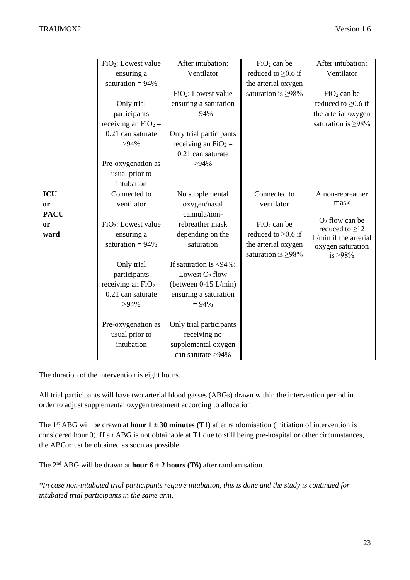| After intubation:                        |
|------------------------------------------|
|                                          |
|                                          |
|                                          |
|                                          |
| reduced to $\geq 0.6$ if                 |
| the arterial oxygen                      |
| saturation is $\geq 98\%$                |
|                                          |
|                                          |
|                                          |
|                                          |
|                                          |
|                                          |
| A non-rebreather                         |
|                                          |
|                                          |
|                                          |
| L/min if the arterial                    |
| oxygen saturation                        |
|                                          |
|                                          |
|                                          |
|                                          |
|                                          |
|                                          |
|                                          |
|                                          |
|                                          |
|                                          |
|                                          |
| $O2$ flow can be<br>reduced to $\geq$ 12 |

The duration of the intervention is eight hours.

All trial participants will have two arterial blood gasses (ABGs) drawn within the intervention period in order to adjust supplemental oxygen treatment according to allocation.

The 1<sup>st</sup> ABG will be drawn at **hour**  $1 \pm 30$  minutes (T1) after randomisation (initiation of intervention is considered hour 0). If an ABG is not obtainable at T1 due to still being pre-hospital or other circumstances, the ABG must be obtained as soon as possible.

The  $2^{nd}$  ABG will be drawn at **hour 6 ± 2 hours (T6)** after randomisation.

*\*In case non-intubated trial participants require intubation, this is done and the study is continued for intubated trial participants in the same arm.*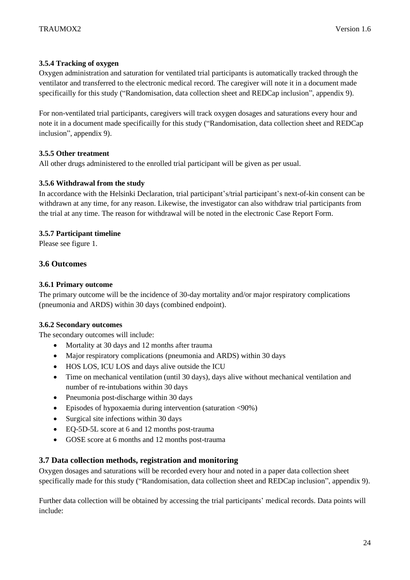#### <span id="page-23-0"></span>**3.5.4 Tracking of oxygen**

Oxygen administration and saturation for ventilated trial participants is automatically tracked through the ventilator and transferred to the electronic medical record. The caregiver will note it in a document made specificailly for this study ("Randomisation, data collection sheet and REDCap inclusion", appendix 9).

For non-ventilated trial participants, caregivers will track oxygen dosages and saturations every hour and note it in a document made specificailly for this study ("Randomisation, data collection sheet and REDCap inclusion", appendix 9).

#### <span id="page-23-1"></span>**3.5.5 Other treatment**

All other drugs administered to the enrolled trial participant will be given as per usual.

#### <span id="page-23-2"></span>**3.5.6 Withdrawal from the study**

In accordance with the Helsinki Declaration, trial participant's/trial participant's next-of-kin consent can be withdrawn at any time, for any reason. Likewise, the investigator can also withdraw trial participants from the trial at any time. The reason for withdrawal will be noted in the electronic Case Report Form.

#### <span id="page-23-3"></span>**3.5.7 Participant timeline**

Please see figure 1.

#### <span id="page-23-4"></span>**3.6 Outcomes**

#### <span id="page-23-5"></span>**3.6.1 Primary outcome**

The primary outcome will be the incidence of 30-day mortality and/or major respiratory complications (pneumonia and ARDS) within 30 days (combined endpoint).

#### <span id="page-23-6"></span>**3.6.2 Secondary outcomes**

The secondary outcomes will include:

- Mortality at 30 days and 12 months after trauma
- Major respiratory complications (pneumonia and ARDS) within 30 days
- HOS LOS, ICU LOS and days alive outside the ICU
- Time on mechanical ventilation (until 30 days), days alive without mechanical ventilation and number of re-intubations within 30 days
- Pneumonia post-discharge within 30 days
- Episodes of hypoxaemia during intervention (saturation <90%)
- Surgical site infections within 30 days
- EQ-5D-5L score at 6 and 12 months post-trauma
- GOSE score at 6 months and 12 months post-trauma

#### <span id="page-23-7"></span>**3.7 Data collection methods, registration and monitoring**

Oxygen dosages and saturations will be recorded every hour and noted in a paper data collection sheet specifically made for this study ("Randomisation, data collection sheet and REDCap inclusion", appendix 9).

Further data collection will be obtained by accessing the trial participants' medical records. Data points will include: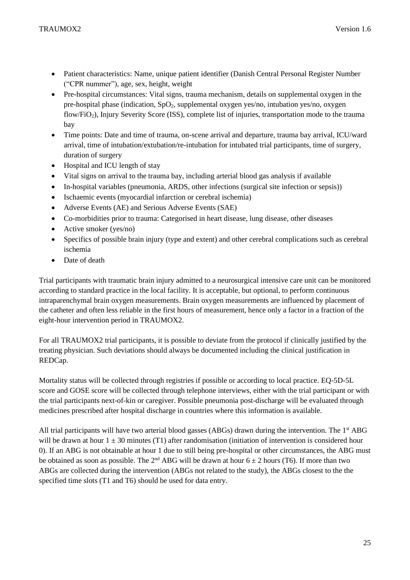- Patient characteristics: Name, unique patient identifier (Danish Central Personal Register Number ("CPR nummer"), age, sex, height, weight
- Pre-hospital circumstances: Vital signs, trauma mechanism, details on supplemental oxygen in the pre-hospital phase (indication,  $SpO<sub>2</sub>$ , supplemental oxygen yes/no, intubation yes/no, oxygen flow/FiO2), Injury Severity Score (ISS), complete list of injuries, transportation mode to the trauma bay
- Time points: Date and time of trauma, on-scene arrival and departure, trauma bay arrival, ICU/ward arrival, time of intubation/extubation/re-intubation for intubated trial participants, time of surgery, duration of surgery
- Hospital and ICU length of stay
- Vital signs on arrival to the trauma bay, including arterial blood gas analysis if available
- In-hospital variables (pneumonia, ARDS, other infections (surgical site infection or sepsis))
- Ischaemic events (myocardial infarction or cerebral ischemia)
- Adverse Events (AE) and Serious Adverse Events (SAE)
- Co-morbidities prior to trauma: Categorised in heart disease, lung disease, other diseases
- Active smoker (yes/no)
- Specifics of possible brain injury (type and extent) and other cerebral complications such as cerebral ischemia
- Date of death

Trial participants with traumatic brain injury admitted to a neurosurgical intensive care unit can be monitored according to standard practice in the local facility. It is acceptable, but optional, to perform continuous intraparenchymal brain oxygen measurements. Brain oxygen measurements are influenced by placement of the catheter and often less reliable in the first hours of measurement, hence only a factor in a fraction of the eight-hour intervention period in TRAUMOX2.

For all TRAUMOX2 trial participants, it is possible to deviate from the protocol if clinically justified by the treating physician. Such deviations should always be documented including the clinical justification in REDCap.

Mortality status will be collected through registries if possible or according to local practice. EQ-5D-5L score and GOSE score will be collected through telephone interviews, either with the trial participant or with the trial participants next-of-kin or caregiver. Possible pneumonia post-discharge will be evaluated through medicines prescribed after hospital discharge in countries where this information is available.

All trial participants will have two arterial blood gasses (ABGs) drawn during the intervention. The 1<sup>st</sup> ABG will be drawn at hour  $1 \pm 30$  minutes (T1) after randomisation (initiation of intervention is considered hour 0). If an ABG is not obtainable at hour 1 due to still being pre-hospital or other circumstances, the ABG must be obtained as soon as possible. The  $2<sup>nd</sup> ABG$  will be drawn at hour  $6 \pm 2$  hours (T6). If more than two ABGs are collected during the intervention (ABGs not related to the study), the ABGs closest to the the specified time slots (T1 and T6) should be used for data entry.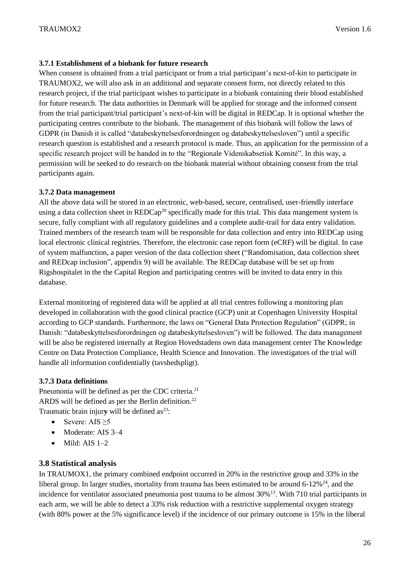#### <span id="page-25-0"></span>**3.7.1 Establishment of a biobank for future research**

When consent is obtained from a trial participant or from a trial participant's next-of-kin to participate in TRAUMOX2, we will also ask in an additional and separate consent form, not directly related to this research project, if the trial participant wishes to participate in a biobank containing their blood established for future research. The data authorities in Denmark will be applied for storage and the informed consent from the trial participant/trial participant's next-of-kin will be digital in REDCap. It is optional whether the participating centres contribute to the biobank. The management of this biobank will follow the laws of GDPR (in Danish it is called "databeskyttelsesforordningen og databeskyttelsesloven") until a specific research question is established and a research protocol is made. Thus, an application for the permission of a specific research project will be handed in to the "Regionale Videnskabsetisk Komité". In this way, a permission will be seeked to do research on the biobank material without obtaining consent from the trial participants again.

#### <span id="page-25-1"></span>**3.7.2 Data management**

All the above data will be stored in an electronic, web-based, secure, centralised, user-friendly interface using a data collection sheet in REDCap<sup>20</sup> specifically made for this trial. This data mangement system is secure, fully compliant with all regulatory guidelines and a complete audit-trail for data entry validation. Trained members of the research team will be responsible for data collection and entry into REDCap using local electronic clinical registries. Therefore, the electronic case report form (eCRF) will be digital. In case of system malfunction, a paper version of the data collection sheet ("Randomisation, data collection sheet and REDcap inclusion", appendix 9) will be available. The REDCap database will be set up from Rigshospitalet in the the Capital Region and participating centres will be invited to data entry in this database.

External monitoring of registered data will be applied at all trial centres following a monitoring plan developed in collaboration with the good clinical practice (GCP) unit at Copenhagen University Hospital according to GCP standards. Furthermore, the laws on "General Data Protection Regulation" (GDPR; in Danish: "databeskyttelsesforordningen og databeskyttelsesloven") will be followed. The data management will be also be registered internally at Region Hovedstadens own data management center The Knowledge Centre on Data Protection Compliance, Health Science and Innovation. The investigators of the trial will handle all information confidentially (tavshedspligt).

#### <span id="page-25-2"></span>**3.7.3 Data definitions**

Pneumonia will be defined as per the CDC criteria.<sup>21</sup> ARDS will be defined as per the Berlin definition.<sup>22</sup> Traumatic brain injury will be defined  $as^{23}$ :

- Severe: AIS  $\geq$ 5
- Moderate: AIS 3-4
- $\bullet$  Mild: AIS 1-2

#### <span id="page-25-3"></span>**3.8 Statistical analysis**

In TRAUMOX1, the primary combined endpoint occurred in 20% in the restrictive group and 33% in the liberal group. In larger studies, mortality from trauma has been estimated to be around  $6-12\%^{24}$ , and the incidence for ventilator associated pneumonia post trauma to be almost 30%<sup>13</sup>. With 710 trial participants in each arm, we will be able to detect a 33% risk reduction with a restrictive supplemental oxygen strategy (with 80% power at the 5% significance level) if the incidence of our primary outcome is 15% in the liberal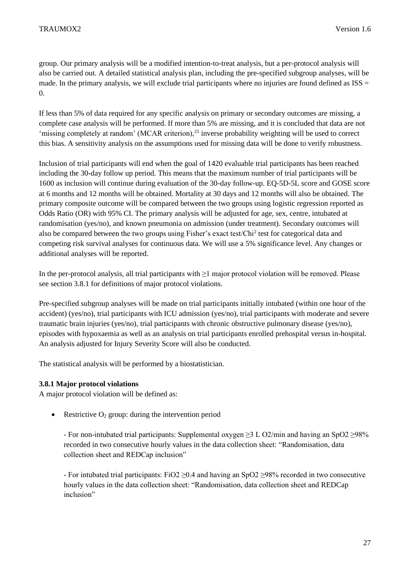group. Our primary analysis will be a modified intention-to-treat analysis, but a per-protocol analysis will also be carried out. A detailed statistical analysis plan, including the pre-specified subgroup analyses, will be made. In the primary analysis, we will exclude trial participants where no injuries are found defined as  $ISS =$ 0.

If less than 5% of data required for any specific analysis on primary or secondary outcomes are missing, a complete case analysis will be performed. If more than 5% are missing, and it is concluded that data are not 'missing completely at random' (MCAR criterion), $^{25}$  inverse probability weighting will be used to correct this bias. A sensitivity analysis on the assumptions used for missing data will be done to verify robustness.

Inclusion of trial participants will end when the goal of 1420 evaluable trial participants has been reached including the 30-day follow up period. This means that the maximum number of trial participants will be 1600 as inclusion will continue during evaluation of the 30-day follow-up. EQ-5D-5L score and GOSE score at 6 months and 12 months will be obtained. Mortality at 30 days and 12 months will also be obtained. The primary composite outcome will be compared between the two groups using logistic regression reported as Odds Ratio (OR) with 95% CI. The primary analysis will be adjusted for age, sex, centre, intubated at randomisation (yes/no), and known pneumonia on admission (under treatment). Secondary outcomes will also be compared between the two groups using Fisher's exact test/Chi<sup>2</sup> test for categorical data and competing risk survival analyses for continuous data. We will use a 5% significance level. Any changes or additional analyses will be reported.

In the per-protocol analysis, all trial participants with ≥1 major protocol violation will be removed. Please see section 3.8.1 for definitions of major protocol violations.

Pre-specified subgroup analyses will be made on trial participants initially intubated (within one hour of the accident) (yes/no), trial participants with ICU admission (yes/no), trial participants with moderate and severe traumatic brain injuries (yes/no), trial participants with chronic obstructive pulmonary disease (yes/no), episodes with hypoxaemia as well as an analysis on trial participants enrolled prehospital versus in-hospital. An analysis adjusted for Injury Severity Score will also be conducted.

The statistical analysis will be performed by a biostatistician.

#### <span id="page-26-0"></span>**3.8.1 Major protocol violations**

A major protocol violation will be defined as:

• Restrictive  $O_2$  group: during the intervention period

- For non-intubated trial participants: Supplemental oxygen ≥3 L O2/min and having an SpO2 ≥98% recorded in two consecutive hourly values in the data collection sheet: "Randomisation, data collection sheet and REDCap inclusion"

- For intubated trial participants: FiO2 ≥0.4 and having an SpO2 ≥98% recorded in two consecutive hourly values in the data collection sheet: "Randomisation, data collection sheet and REDCap inclusion"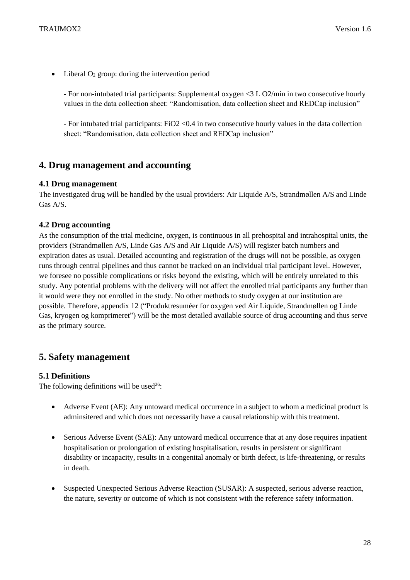• Liberal  $O_2$  group: during the intervention period

- For non-intubated trial participants: Supplemental oxygen <3 L O2/min in two consecutive hourly values in the data collection sheet: "Randomisation, data collection sheet and REDCap inclusion"

- For intubated trial participants: FiO2 <0.4 in two consecutive hourly values in the data collection sheet: "Randomisation, data collection sheet and REDCap inclusion"

## <span id="page-27-0"></span>**4. Drug management and accounting**

#### <span id="page-27-1"></span>**4.1 Drug management**

The investigated drug will be handled by the usual providers: Air Liquide A/S, Strandmøllen A/S and Linde Gas A/S.

#### <span id="page-27-2"></span>**4.2 Drug accounting**

As the consumption of the trial medicine, oxygen, is continuous in all prehospital and intrahospital units, the providers (Strandmøllen A/S, Linde Gas A/S and Air Liquide A/S) will register batch numbers and expiration dates as usual. Detailed accounting and registration of the drugs will not be possible, as oxygen runs through central pipelines and thus cannot be tracked on an individual trial participant level. However, we foresee no possible complications or risks beyond the existing, which will be entirely unrelated to this study. Any potential problems with the delivery will not affect the enrolled trial participants any further than it would were they not enrolled in the study. No other methods to study oxygen at our institution are possible. Therefore, appendix 12 ("Produktresuméer for oxygen ved Air Liquide, Strandmøllen og Linde Gas, kryogen og komprimeret") will be the most detailed available source of drug accounting and thus serve as the primary source.

## <span id="page-27-3"></span>**5. Safety management**

#### <span id="page-27-4"></span>**5.1 Definitions**

The following definitions will be used<sup>26</sup>:

- Adverse Event (AE): Any untoward medical occurrence in a subject to whom a medicinal product is adminsitered and which does not necessarily have a causal relationship with this treatment.
- Serious Adverse Event (SAE): Any untoward medical occurrence that at any dose requires inpatient hospitalisation or prolongation of existing hospitalisation, results in persistent or significant disability or incapacity, results in a congenital anomaly or birth defect, is life-threatening, or results in death.
- Suspected Unexpected Serious Adverse Reaction (SUSAR): A suspected, serious adverse reaction, the nature, severity or outcome of which is not consistent with the reference safety information.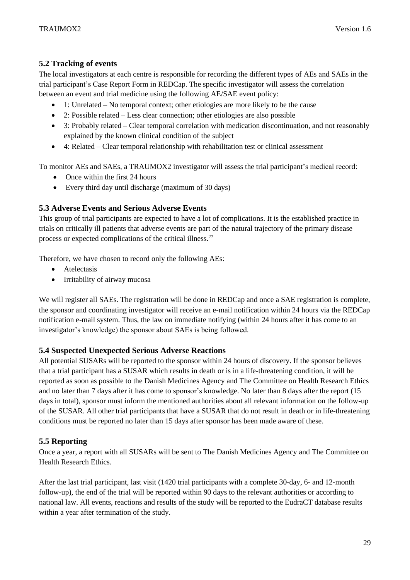#### <span id="page-28-0"></span>**5.2 Tracking of events**

The local investigators at each centre is responsible for recording the different types of AEs and SAEs in the trial participant's Case Report Form in REDCap. The specific investigator will assess the correlation between an event and trial medicine using the following AE/SAE event policy:

- 1: Unrelated No temporal context; other etiologies are more likely to be the cause
- 2: Possible related Less clear connection; other etiologies are also possible
- 3: Probably related Clear temporal correlation with medication discontinuation, and not reasonably explained by the known clinical condition of the subject
- 4: Related Clear temporal relationship with rehabilitation test or clinical assessment

To monitor AEs and SAEs, a TRAUMOX2 investigator will assess the trial participant's medical record:

- Once within the first 24 hours
- Every third day until discharge (maximum of 30 days)

#### <span id="page-28-1"></span>**5.3 Adverse Events and Serious Adverse Events**

This group of trial participants are expected to have a lot of complications. It is the established practice in trials on critically ill patients that adverse events are part of the natural trajectory of the primary disease process or expected complications of the critical illness.<sup>27</sup>

Therefore, we have chosen to record only the following AEs:

- Atelectasis
- Irritability of airway mucosa

We will register all SAEs. The registration will be done in REDCap and once a SAE registration is complete, the sponsor and coordinating investigator will receive an e-mail notification within 24 hours via the REDCap notification e-mail system. Thus, the law on immediate notifying (within 24 hours after it has come to an investigator's knowledge) the sponsor about SAEs is being followed.

#### <span id="page-28-2"></span>**5.4 Suspected Unexpected Serious Adverse Reactions**

All potential SUSARs will be reported to the sponsor within 24 hours of discovery. If the sponsor believes that a trial participant has a SUSAR which results in death or is in a life-threatening condition, it will be reported as soon as possible to the Danish Medicines Agency and The Committee on Health Research Ethics and no later than 7 days after it has come to sponsor's knowledge. No later than 8 days after the report (15 days in total), sponsor must inform the mentioned authorities about all relevant information on the follow-up of the SUSAR. All other trial participants that have a SUSAR that do not result in death or in life-threatening conditions must be reported no later than 15 days after sponsor has been made aware of these.

#### <span id="page-28-3"></span>**5.5 Reporting**

Once a year, a report with all SUSARs will be sent to The Danish Medicines Agency and The Committee on Health Research Ethics.

After the last trial participant, last visit (1420 trial participants with a complete 30-day, 6- and 12-month follow-up), the end of the trial will be reported within 90 days to the relevant authorities or according to national law. All events, reactions and results of the study will be reported to the EudraCT database results within a year after termination of the study.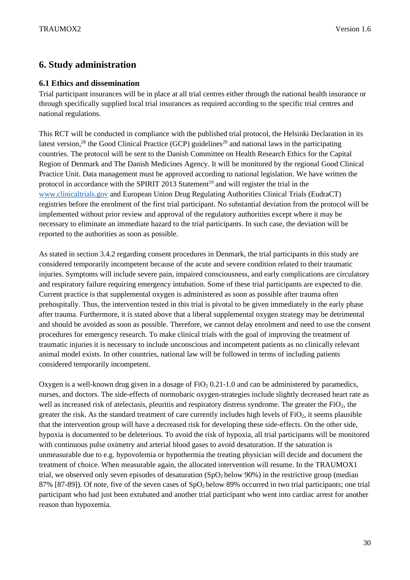## <span id="page-29-0"></span>**6. Study administration**

#### <span id="page-29-1"></span>**6.1 Ethics and dissemination**

Trial participant insurances will be in place at all trial centres either through the national health insurance or through specifically supplied local trial insurances as required according to the specific trial centres and national regulations.

This RCT will be conducted in compliance with the published trial protocol, the Helsinki Declaration in its latest version,<sup>28</sup> the Good Clinical Practice (GCP) guidelines<sup>29</sup> and national laws in the participating countries. The protocol will be sent to the Danish Committee on Health Research Ethics for the Capital Region of Denmark and The Danish Medicines Agency. It will be monitored by the regional Good Clinical Practice Unit. Data management must be approved according to national legislation. We have written the protocol in accordance with the SPIRIT 2013 Statement<sup>19</sup> and will register the trial in the [www.clinicaltrials.gov](http://www.clinicaltrials.gov/) and European Union Drug Regulating Authorities Clinical Trials (EudraCT) registries before the enrolment of the first trial participant. No substantial deviation from the protocol will be implemented without prior review and approval of the regulatory authorities except where it may be necessary to eliminate an immediate hazard to the trial participants. In such case, the deviation will be reported to the authorities as soon as possible.

As stated in section 3.4.2 regarding consent procedures in Denmark, the trial participants in this study are considered temporarily incompetent because of the acute and severe condition related to their traumatic injuries. Symptoms will include severe pain, impaired consciousness, and early complications are circulatory and respiratory failure requiring emergency intubation. Some of these trial participants are expected to die. Current practice is that supplemental oxygen is administered as soon as possible after trauma often prehospitally. Thus, the intervention tested in this trial is pivotal to be given immediately in the early phase after trauma. Furthermore, it is stated above that a liberal supplemental oxygen strategy may be detrimental and should be avoided as soon as possible. Therefore, we cannot delay enrolment and need to use the consent procedures for emergency research. To make clinical trials with the goal of improving the treatment of traumatic injuries it is necessary to include unconscious and incompetent patients as no clinically relevant animal model exists. In other countries, national law will be followed in terms of including patients considered temporarily incompetent.

Oxygen is a well-known drug given in a dosage of  $FiO<sub>2</sub> 0.21-1.0$  and can be administered by paramedics, nurses, and doctors. The side-effects of normobaric oxygen-strategies include slightly decreased heart rate as well as increased risk of atelectasis, pleuritis and respiratory distress syndrome. The greater the  $FiO<sub>2</sub>$ , the greater the risk. As the standard treatment of care currently includes high levels of FiO2, it seems plausible that the intervention group will have a decreased risk for developing these side-effects. On the other side, hypoxia is documented to be deleterious. To avoid the risk of hypoxia, all trial participants will be monitored with continuous pulse oximetry and arterial blood gases to avoid desaturation. If the saturation is unmeasurable due to e.g. hypovolemia or hypothermia the treating physician will decide and document the treatment of choice. When measurable again, the allocated intervention will resume. In the TRAUMOX1 trial, we observed only seven episodes of desaturation (SpO<sub>2</sub> below 90%) in the restrictive group (median 87% [87-89]). Of note, five of the seven cases of SpO2 below 89% occurred in two trial participants; one trial participant who had just been extubated and another trial participant who went into cardiac arrest for another reason than hypoxemia.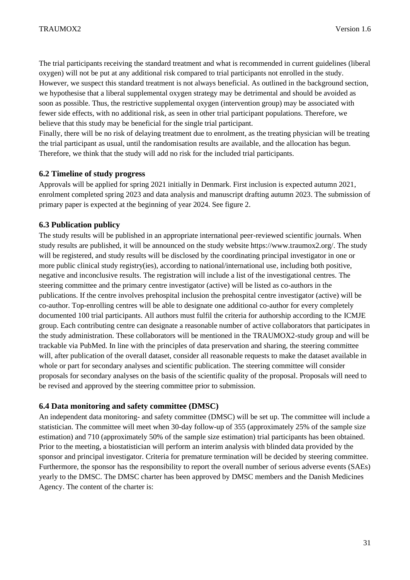The trial participants receiving the standard treatment and what is recommended in current guidelines (liberal oxygen) will not be put at any additional risk compared to trial participants not enrolled in the study. However, we suspect this standard treatment is not always beneficial. As outlined in the background section, we hypothesise that a liberal supplemental oxygen strategy may be detrimental and should be avoided as soon as possible. Thus, the restrictive supplemental oxygen (intervention group) may be associated with fewer side effects, with no additional risk, as seen in other trial participant populations. Therefore, we believe that this study may be beneficial for the single trial participant.

Finally, there will be no risk of delaying treatment due to enrolment, as the treating physician will be treating the trial participant as usual, until the randomisation results are available, and the allocation has begun. Therefore, we think that the study will add no risk for the included trial participants.

#### <span id="page-30-0"></span>**6.2 Timeline of study progress**

Approvals will be applied for spring 2021 initially in Denmark. First inclusion is expected autumn 2021, enrolment completed spring 2023 and data analysis and manuscript drafting autumn 2023. The submission of primary paper is expected at the beginning of year 2024. See figure 2.

#### <span id="page-30-1"></span>**6.3 Publication publicy**

The study results will be published in an appropriate international peer-reviewed scientific journals. When study results are published, it will be announced on the study website https://www.traumox2.org/. The study will be registered, and study results will be disclosed by the coordinating principal investigator in one or more public clinical study registry(ies), according to national/international use, including both positive, negative and inconclusive results. The registration will include a list of the investigational centres. The steering committee and the primary centre investigator (active) will be listed as co-authors in the publications. If the centre involves prehospital inclusion the prehospital centre investigator (active) will be co-author. Top-enrolling centres will be able to designate one additional co-author for every completely documented 100 trial participants. All authors must fulfil the criteria for authorship according to the ICMJE group. Each contributing centre can designate a reasonable number of active collaborators that participates in the study administration. These collaborators will be mentioned in the TRAUMOX2-study group and will be trackable via PubMed. In line with the principles of data preservation and sharing, the steering committee will, after publication of the overall dataset, consider all reasonable requests to make the dataset available in whole or part for secondary analyses and scientific publication. The steering committee will consider proposals for secondary analyses on the basis of the scientific quality of the proposal. Proposals will need to be revised and approved by the steering committee prior to submission.

#### <span id="page-30-2"></span>**6.4 Data monitoring and safety committee (DMSC)**

An independent data monitoring- and safety committee (DMSC) will be set up. The committee will include a statistician. The committee will meet when 30-day follow-up of 355 (approximately 25% of the sample size estimation) and 710 (approximately 50% of the sample size estimation) trial participants has been obtained. Prior to the meeting, a biostatistician will perform an interim analysis with blinded data provided by the sponsor and principal investigator. Criteria for premature termination will be decided by steering committee. Furthermore, the sponsor has the responsibility to report the overall number of serious adverse events (SAEs) yearly to the DMSC. The DMSC charter has been approved by DMSC members and the Danish Medicines Agency. The content of the charter is: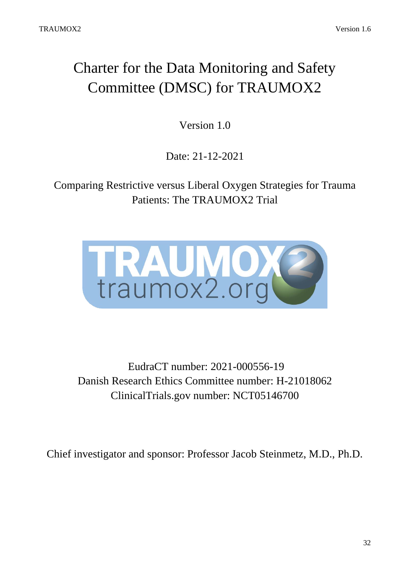# Charter for the Data Monitoring and Safety Committee (DMSC) for TRAUMOX2

Version 1.0

Date: 21-12-2021

Comparing Restrictive versus Liberal Oxygen Strategies for Trauma Patients: The TRAUMOX2 Trial



EudraCT number: 2021-000556-19 Danish Research Ethics Committee number: H-21018062 ClinicalTrials.gov number: NCT05146700

Chief investigator and sponsor: Professor Jacob Steinmetz, M.D., Ph.D.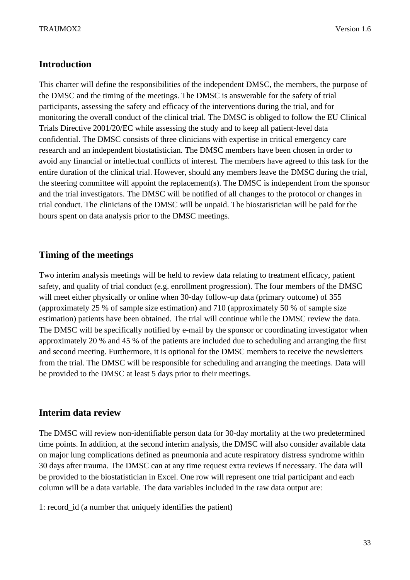## **Introduction**

This charter will define the responsibilities of the independent DMSC, the members, the purpose of the DMSC and the timing of the meetings. The DMSC is answerable for the safety of trial participants, assessing the safety and efficacy of the interventions during the trial, and for monitoring the overall conduct of the clinical trial. The DMSC is obliged to follow the EU Clinical Trials Directive 2001/20/EC while assessing the study and to keep all patient-level data confidential. The DMSC consists of three clinicians with expertise in critical emergency care research and an independent biostatistician. The DMSC members have been chosen in order to avoid any financial or intellectual conflicts of interest. The members have agreed to this task for the entire duration of the clinical trial. However, should any members leave the DMSC during the trial, the steering committee will appoint the replacement(s). The DMSC is independent from the sponsor and the trial investigators. The DMSC will be notified of all changes to the protocol or changes in trial conduct. The clinicians of the DMSC will be unpaid. The biostatistician will be paid for the hours spent on data analysis prior to the DMSC meetings.

## **Timing of the meetings**

Two interim analysis meetings will be held to review data relating to treatment efficacy, patient safety, and quality of trial conduct (e.g. enrollment progression). The four members of the DMSC will meet either physically or online when 30-day follow-up data (primary outcome) of 355 (approximately 25 % of sample size estimation) and 710 (approximately 50 % of sample size estimation) patients have been obtained. The trial will continue while the DMSC review the data. The DMSC will be specifically notified by e-mail by the sponsor or coordinating investigator when approximately 20 % and 45 % of the patients are included due to scheduling and arranging the first and second meeting. Furthermore, it is optional for the DMSC members to receive the newsletters from the trial. The DMSC will be responsible for scheduling and arranging the meetings. Data will be provided to the DMSC at least 5 days prior to their meetings.

## **Interim data review**

The DMSC will review non-identifiable person data for 30-day mortality at the two predetermined time points. In addition, at the second interim analysis, the DMSC will also consider available data on major lung complications defined as pneumonia and acute respiratory distress syndrome within 30 days after trauma. The DMSC can at any time request extra reviews if necessary. The data will be provided to the biostatistician in Excel. One row will represent one trial participant and each column will be a data variable. The data variables included in the raw data output are:

1: record\_id (a number that uniquely identifies the patient)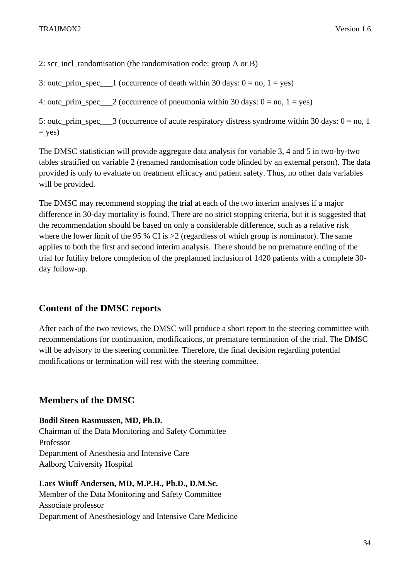2: scr\_incl\_randomisation (the randomisation code: group A or B)

3: outc\_prim\_spec\_\_\_1 (occurrence of death within 30 days:  $0 = no$ ,  $1 = yes$ )

4: outc\_prim\_spec = 2 (occurrence of pneumonia within 30 days:  $0 =$  no,  $1 =$  yes)

5: outc\_prim\_spec\_\_\_3 (occurrence of acute respiratory distress syndrome within 30 days:  $0 =$  no, 1  $=$  yes)

The DMSC statistician will provide aggregate data analysis for variable 3, 4 and 5 in two-by-two tables stratified on variable 2 (renamed randomisation code blinded by an external person). The data provided is only to evaluate on treatment efficacy and patient safety. Thus, no other data variables will be provided.

The DMSC may recommend stopping the trial at each of the two interim analyses if a major difference in 30-day mortality is found. There are no strict stopping criteria, but it is suggested that the recommendation should be based on only a considerable difference, such as a relative risk where the lower limit of the 95 % CI is  $>2$  (regardless of which group is nominator). The same applies to both the first and second interim analysis. There should be no premature ending of the trial for futility before completion of the preplanned inclusion of 1420 patients with a complete 30 day follow-up.

## **Content of the DMSC reports**

After each of the two reviews, the DMSC will produce a short report to the steering committee with recommendations for continuation, modifications, or premature termination of the trial. The DMSC will be advisory to the steering committee. Therefore, the final decision regarding potential modifications or termination will rest with the steering committee.

## **Members of the DMSC**

**Bodil Steen Rasmussen, MD, Ph.D.**

Chairman of the Data Monitoring and Safety Committee Professor Department of Anesthesia and Intensive Care Aalborg University Hospital

**Lars Wiuff Andersen, MD, M.P.H., Ph.D., D.M.Sc.**

Member of the Data Monitoring and Safety Committee Associate professor Department of Anesthesiology and Intensive Care Medicine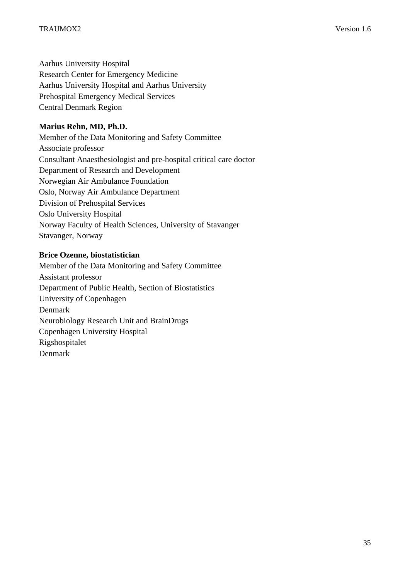Aarhus University Hospital Research Center for Emergency Medicine Aarhus University Hospital and Aarhus University Prehospital Emergency Medical Services Central Denmark Region

### **Marius Rehn, MD, Ph.D.**

Member of the Data Monitoring and Safety Committee Associate professor Consultant Anaesthesiologist and pre-hospital critical care doctor Department of Research and Development Norwegian Air Ambulance Foundation Oslo, Norway Air Ambulance Department Division of Prehospital Services Oslo University Hospital Norway Faculty of Health Sciences, University of Stavanger Stavanger, Norway

#### **Brice Ozenne, biostatistician**

Member of the Data Monitoring and Safety Committee Assistant professor Department of Public Health, Section of Biostatistics University of Copenhagen Denmark Neurobiology Research Unit and BrainDrugs Copenhagen University Hospital Rigshospitalet Denmark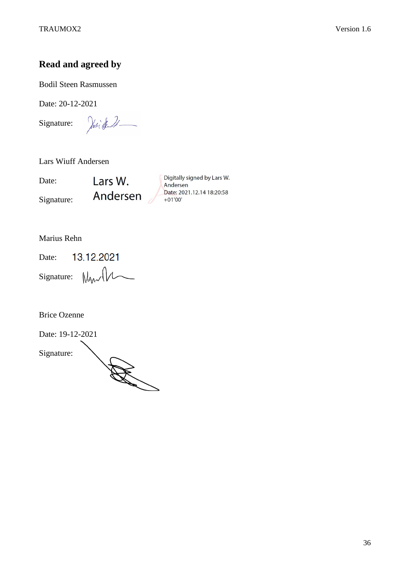## **Read and agreed by**

Bodil Steen Rasmussen

Date: 20-12-2021

Signature:

Josi El

Lars Wiuff Andersen

Date: Signature: Lars W. Andersen

Digitally signed by Lars W. Andersen Date: 2021.12.14 18:20:58  $+01'00'$ 

Marius Rehn

13.12.2021 Date:  $Signature: \mathbb{W}_{\mathsf{W}}\mathcal{W}$ 

Brice Ozenne

Date: 19-12-2021 Signature: All Contract of the Contract of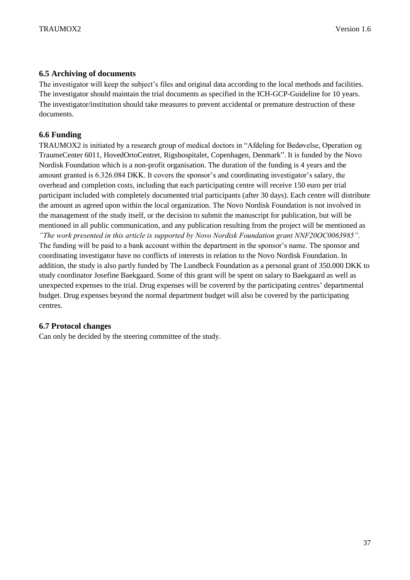#### <span id="page-36-0"></span>**6.5 Archiving of documents**

The investigator will keep the subject's files and original data according to the local methods and facilities. The investigator should maintain the trial documents as specified in the ICH-GCP-Guideline for 10 years. The investigator/institution should take measures to prevent accidental or premature destruction of these documents.

#### <span id="page-36-1"></span>**6.6 Funding**

TRAUMOX2 is initiated by a research group of medical doctors in "Afdeling for Bedøvelse, Operation og TraumeCenter 6011, HovedOrtoCentret, Rigshospitalet, Copenhagen, Denmark". It is funded by the Novo Nordisk Foundation which is a non-profit organisation. The duration of the funding is 4 years and the amount granted is 6.326.084 DKK. It covers the sponsor's and coordinating investigator's salary, the overhead and completion costs, including that each participating centre will receive 150 euro per trial participant included with completely documented trial participants (after 30 days). Each centre will distribute the amount as agreed upon within the local organization. The Novo Nordisk Foundation is not involved in the management of the study itself, or the decision to submit the manuscript for publication, but will be mentioned in all public communication, and any publication resulting from the project will be mentioned as *"The work presented in this article is supported by Novo Nordisk Foundation grant NNF20OC0063985".*  The funding will be paid to a bank account within the department in the sponsor's name. The sponsor and coordinating investigator have no conflicts of interests in relation to the Novo Nordisk Foundation. In addition, the study is also partly funded by The Lundbeck Foundation as a personal grant of 350.000 DKK to study coordinator Josefine Baekgaard. Some of this grant will be spent on salary to Baekgaard as well as unexpected expenses to the trial. Drug expenses will be covererd by the participating centres' departmental budget. Drug expenses beyond the normal department budget will also be covered by the participating centres.

#### <span id="page-36-2"></span>**6.7 Protocol changes**

Can only be decided by the steering committee of the study.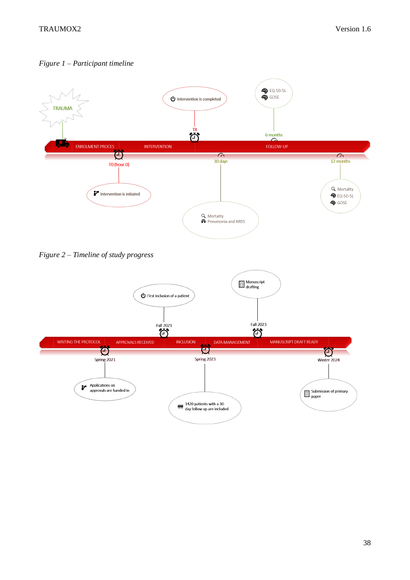*Figure 1 – Participant timeline*



*Figure 2 – Timeline of study progress*

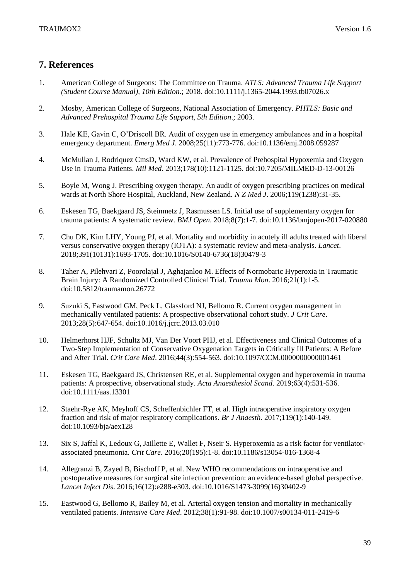## <span id="page-38-0"></span>**7. References**

- 1. American College of Surgeons: The Committee on Trauma. *ATLS: Advanced Trauma Life Support (Student Course Manual), 10th Edition*.; 2018. doi:10.1111/j.1365-2044.1993.tb07026.x
- 2. Mosby, American College of Surgeons, National Association of Emergency. *PHTLS: Basic and Advanced Prehospital Trauma Life Support, 5th Edition*.; 2003.
- 3. Hale KE, Gavin C, O'Driscoll BR. Audit of oxygen use in emergency ambulances and in a hospital emergency department. *Emerg Med J*. 2008;25(11):773-776. doi:10.1136/emj.2008.059287
- 4. McMullan J, Rodriquez CmsD, Ward KW, et al. Prevalence of Prehospital Hypoxemia and Oxygen Use in Trauma Patients. *Mil Med*. 2013;178(10):1121-1125. doi:10.7205/MILMED-D-13-00126
- 5. Boyle M, Wong J. Prescribing oxygen therapy. An audit of oxygen prescribing practices on medical wards at North Shore Hospital, Auckland, New Zealand. *N Z Med J*. 2006;119(1238):31-35.
- 6. Eskesen TG, Baekgaard JS, Steinmetz J, Rasmussen LS. Initial use of supplementary oxygen for trauma patients: A systematic review. *BMJ Open*. 2018;8(7):1-7. doi:10.1136/bmjopen-2017-020880
- 7. Chu DK, Kim LHY, Young PJ, et al. Mortality and morbidity in acutely ill adults treated with liberal versus conservative oxygen therapy (IOTA): a systematic review and meta-analysis. *Lancet*. 2018;391(10131):1693-1705. doi:10.1016/S0140-6736(18)30479-3
- 8. Taher A, Pilehvari Z, Poorolajal J, Aghajanloo M. Effects of Normobaric Hyperoxia in Traumatic Brain Injury: A Randomized Controlled Clinical Trial. *Trauma Mon*. 2016;21(1):1-5. doi:10.5812/traumamon.26772
- 9. Suzuki S, Eastwood GM, Peck L, Glassford NJ, Bellomo R. Current oxygen management in mechanically ventilated patients: A prospective observational cohort study. *J Crit Care*. 2013;28(5):647-654. doi:10.1016/j.jcrc.2013.03.010
- 10. Helmerhorst HJF, Schultz MJ, Van Der Voort PHJ, et al. Effectiveness and Clinical Outcomes of a Two-Step Implementation of Conservative Oxygenation Targets in Critically Ill Patients: A Before and After Trial. *Crit Care Med*. 2016;44(3):554-563. doi:10.1097/CCM.0000000000001461
- 11. Eskesen TG, Baekgaard JS, Christensen RE, et al. Supplemental oxygen and hyperoxemia in trauma patients: A prospective, observational study. *Acta Anaesthesiol Scand*. 2019;63(4):531-536. doi:10.1111/aas.13301
- 12. Staehr-Rye AK, Meyhoff CS, Scheffenbichler FT, et al. High intraoperative inspiratory oxygen fraction and risk of major respiratory complications. *Br J Anaesth*. 2017;119(1):140-149. doi:10.1093/bja/aex128
- 13. Six S, Jaffal K, Ledoux G, Jaillette E, Wallet F, Nseir S. Hyperoxemia as a risk factor for ventilatorassociated pneumonia. *Crit Care*. 2016;20(195):1-8. doi:10.1186/s13054-016-1368-4
- 14. Allegranzi B, Zayed B, Bischoff P, et al. New WHO recommendations on intraoperative and postoperative measures for surgical site infection prevention: an evidence-based global perspective. *Lancet Infect Dis*. 2016;16(12):e288-e303. doi:10.1016/S1473-3099(16)30402-9
- 15. Eastwood G, Bellomo R, Bailey M, et al. Arterial oxygen tension and mortality in mechanically ventilated patients. *Intensive Care Med*. 2012;38(1):91-98. doi:10.1007/s00134-011-2419-6